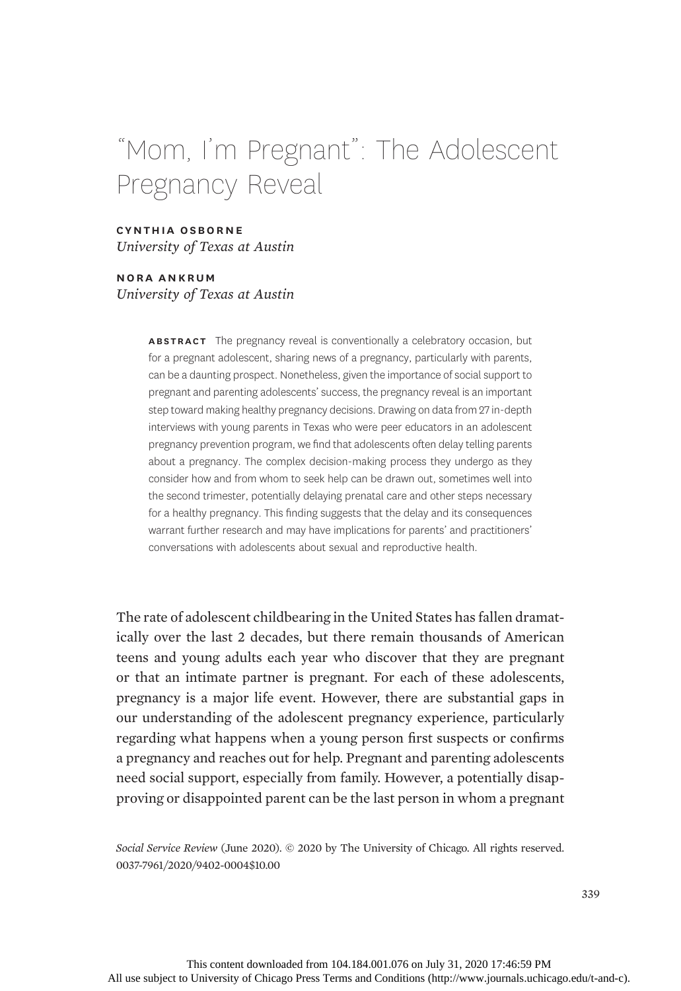# "Mom, I'm Pregnant": The Adolescent Pregnancy Reveal

# cynthia osborne University of Texas at Austin

nora ankrum University of Texas at Austin

> ABSTRACT The pregnancy reveal is conventionally a celebratory occasion, but for a pregnant adolescent, sharing news of a pregnancy, particularly with parents, can be a daunting prospect. Nonetheless, given the importance of social support to pregnant and parenting adolescents' success, the pregnancy reveal is an important step toward making healthy pregnancy decisions. Drawing on data from 27 in-depth interviews with young parents in Texas who were peer educators in an adolescent pregnancy prevention program, we find that adolescents often delay telling parents about a pregnancy. The complex decision-making process they undergo as they consider how and from whom to seek help can be drawn out, sometimes well into the second trimester, potentially delaying prenatal care and other steps necessary for a healthy pregnancy. This finding suggests that the delay and its consequences warrant further research and may have implications for parents' and practitioners' conversations with adolescents about sexual and reproductive health.

The rate of adolescent childbearing in the United States has fallen dramatically over the last 2 decades, but there remain thousands of American teens and young adults each year who discover that they are pregnant or that an intimate partner is pregnant. For each of these adolescents, pregnancy is a major life event. However, there are substantial gaps in our understanding of the adolescent pregnancy experience, particularly regarding what happens when a young person first suspects or confirms a pregnancy and reaches out for help. Pregnant and parenting adolescents need social support, especially from family. However, a potentially disapproving or disappointed parent can be the last person in whom a pregnant

Social Service Review (June 2020). © 2020 by The University of Chicago. All rights reserved. 0037-7961/2020/9402-0004\$10.00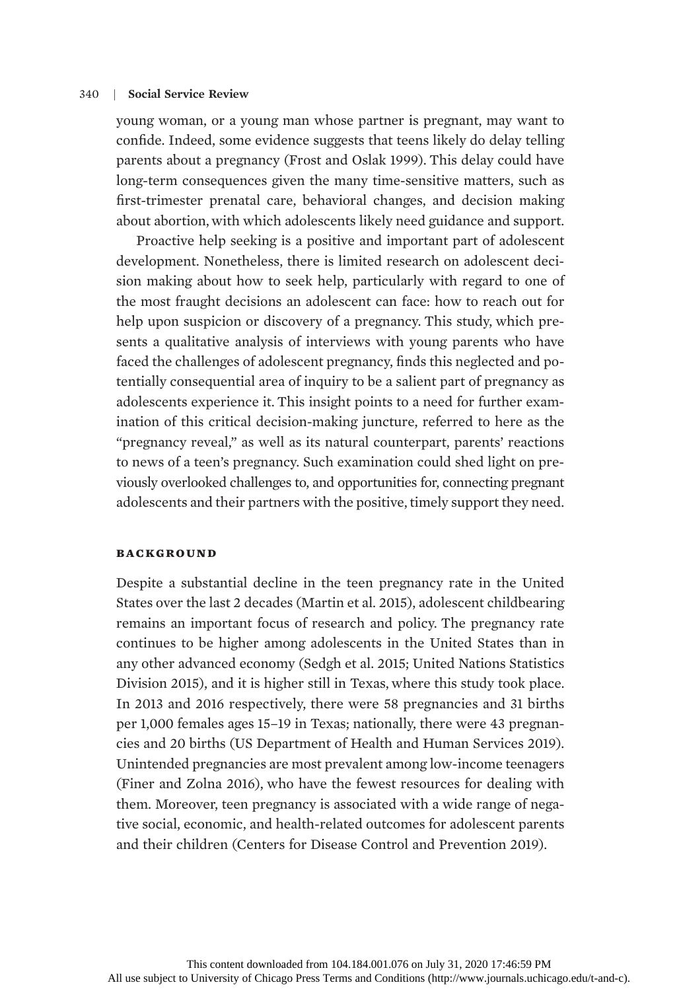young woman, or a young man whose partner is pregnant, may want to confide. Indeed, some evidence suggests that teens likely do delay telling parents about a pregnancy (Frost and Oslak 1999). This delay could have long-term consequences given the many time-sensitive matters, such as first-trimester prenatal care, behavioral changes, and decision making about abortion, with which adolescents likely need guidance and support.

Proactive help seeking is a positive and important part of adolescent development. Nonetheless, there is limited research on adolescent decision making about how to seek help, particularly with regard to one of the most fraught decisions an adolescent can face: how to reach out for help upon suspicion or discovery of a pregnancy. This study, which presents a qualitative analysis of interviews with young parents who have faced the challenges of adolescent pregnancy, finds this neglected and potentially consequential area of inquiry to be a salient part of pregnancy as adolescents experience it. This insight points to a need for further examination of this critical decision-making juncture, referred to here as the "pregnancy reveal," as well as its natural counterpart, parents' reactions to news of a teen's pregnancy. Such examination could shed light on previously overlooked challenges to, and opportunities for, connecting pregnant adolescents and their partners with the positive, timely support they need.

## **BACKGROUND**

Despite a substantial decline in the teen pregnancy rate in the United States over the last 2 decades (Martin et al. 2015), adolescent childbearing remains an important focus of research and policy. The pregnancy rate continues to be higher among adolescents in the United States than in any other advanced economy (Sedgh et al. 2015; United Nations Statistics Division 2015), and it is higher still in Texas, where this study took place. In 2013 and 2016 respectively, there were 58 pregnancies and 31 births per 1,000 females ages 15–19 in Texas; nationally, there were 43 pregnancies and 20 births (US Department of Health and Human Services 2019). Unintended pregnancies are most prevalent among low-income teenagers (Finer and Zolna 2016), who have the fewest resources for dealing with them. Moreover, teen pregnancy is associated with a wide range of negative social, economic, and health-related outcomes for adolescent parents and their children (Centers for Disease Control and Prevention 2019).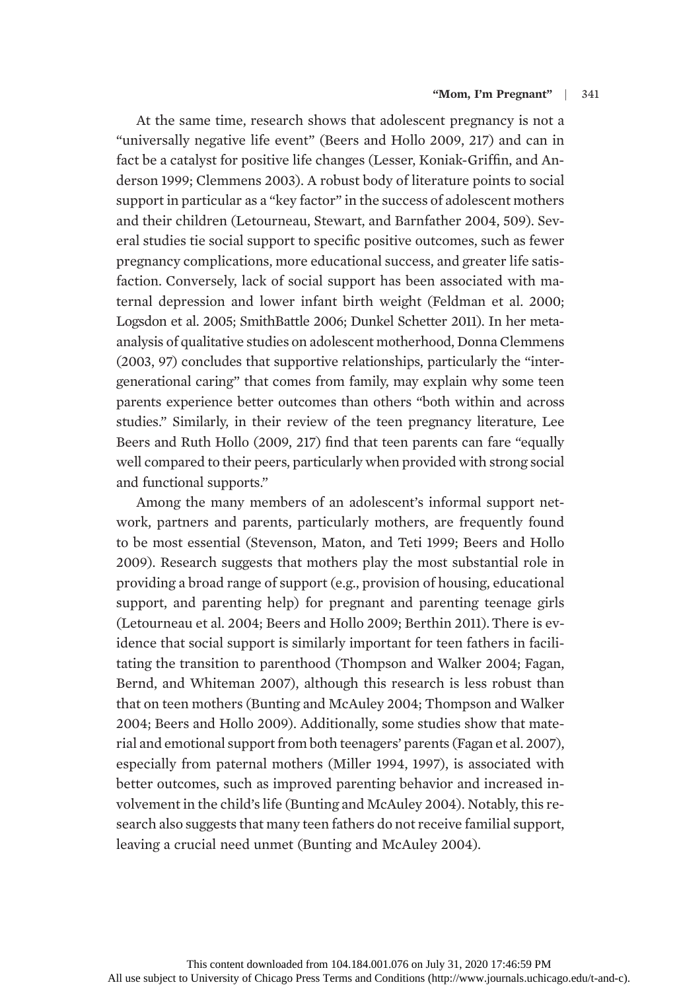At the same time, research shows that adolescent pregnancy is not a "universally negative life event" (Beers and Hollo 2009, 217) and can in fact be a catalyst for positive life changes (Lesser, Koniak-Griffin, and Anderson 1999; Clemmens 2003). A robust body of literature points to social support in particular as a "key factor" in the success of adolescent mothers and their children (Letourneau, Stewart, and Barnfather 2004, 509). Several studies tie social support to specific positive outcomes, such as fewer pregnancy complications, more educational success, and greater life satisfaction. Conversely, lack of social support has been associated with maternal depression and lower infant birth weight (Feldman et al. 2000; Logsdon et al. 2005; SmithBattle 2006; Dunkel Schetter 2011). In her metaanalysis of qualitative studies on adolescent motherhood, Donna Clemmens (2003, 97) concludes that supportive relationships, particularly the "intergenerational caring" that comes from family, may explain why some teen parents experience better outcomes than others "both within and across studies." Similarly, in their review of the teen pregnancy literature, Lee Beers and Ruth Hollo (2009, 217) find that teen parents can fare "equally well compared to their peers, particularly when provided with strong social and functional supports."

Among the many members of an adolescent's informal support network, partners and parents, particularly mothers, are frequently found to be most essential (Stevenson, Maton, and Teti 1999; Beers and Hollo 2009). Research suggests that mothers play the most substantial role in providing a broad range of support (e.g., provision of housing, educational support, and parenting help) for pregnant and parenting teenage girls (Letourneau et al. 2004; Beers and Hollo 2009; Berthin 2011). There is evidence that social support is similarly important for teen fathers in facilitating the transition to parenthood (Thompson and Walker 2004; Fagan, Bernd, and Whiteman 2007), although this research is less robust than that on teen mothers (Bunting and McAuley 2004; Thompson and Walker 2004; Beers and Hollo 2009). Additionally, some studies show that material and emotional support from both teenagers' parents (Fagan et al. 2007), especially from paternal mothers (Miller 1994, 1997), is associated with better outcomes, such as improved parenting behavior and increased involvement in the child's life (Bunting and McAuley 2004). Notably, this research also suggests that many teen fathers do not receive familial support, leaving a crucial need unmet (Bunting and McAuley 2004).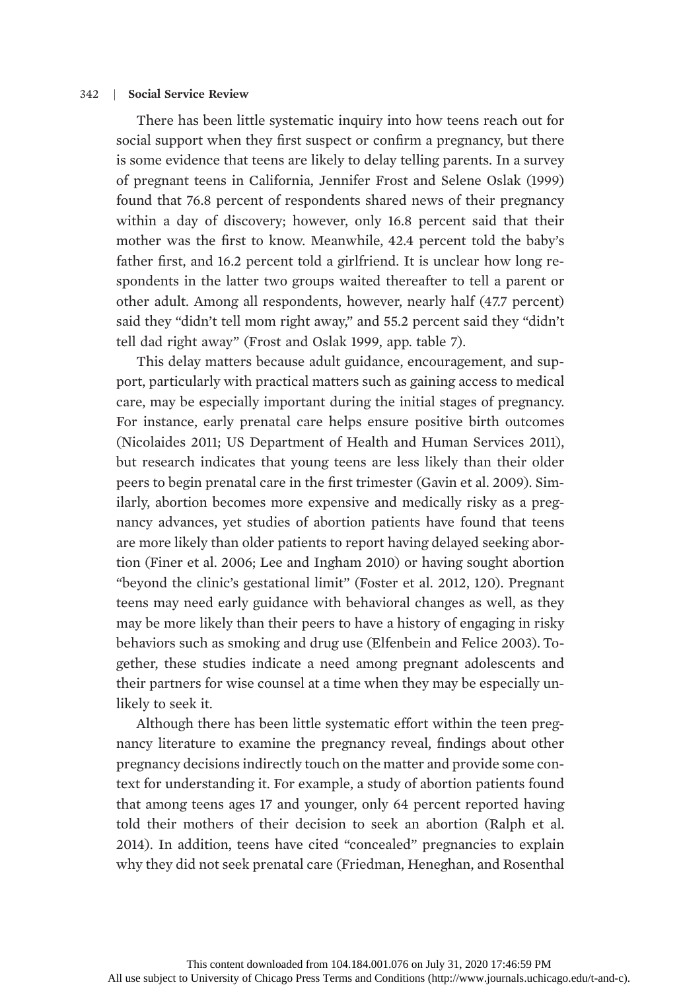There has been little systematic inquiry into how teens reach out for social support when they first suspect or confirm a pregnancy, but there is some evidence that teens are likely to delay telling parents. In a survey of pregnant teens in California, Jennifer Frost and Selene Oslak (1999) found that 76.8 percent of respondents shared news of their pregnancy within a day of discovery; however, only 16.8 percent said that their mother was the first to know. Meanwhile, 42.4 percent told the baby's father first, and 16.2 percent told a girlfriend. It is unclear how long respondents in the latter two groups waited thereafter to tell a parent or other adult. Among all respondents, however, nearly half (47.7 percent) said they "didn't tell mom right away," and 55.2 percent said they "didn't tell dad right away" (Frost and Oslak 1999, app. table 7).

This delay matters because adult guidance, encouragement, and support, particularly with practical matters such as gaining access to medical care, may be especially important during the initial stages of pregnancy. For instance, early prenatal care helps ensure positive birth outcomes (Nicolaides 2011; US Department of Health and Human Services 2011), but research indicates that young teens are less likely than their older peers to begin prenatal care in the first trimester (Gavin et al. 2009). Similarly, abortion becomes more expensive and medically risky as a pregnancy advances, yet studies of abortion patients have found that teens are more likely than older patients to report having delayed seeking abortion (Finer et al. 2006; Lee and Ingham 2010) or having sought abortion "beyond the clinic's gestational limit" (Foster et al. 2012, 120). Pregnant teens may need early guidance with behavioral changes as well, as they may be more likely than their peers to have a history of engaging in risky behaviors such as smoking and drug use (Elfenbein and Felice 2003). Together, these studies indicate a need among pregnant adolescents and their partners for wise counsel at a time when they may be especially unlikely to seek it.

Although there has been little systematic effort within the teen pregnancy literature to examine the pregnancy reveal, findings about other pregnancy decisions indirectly touch on the matter and provide some context for understanding it. For example, a study of abortion patients found that among teens ages 17 and younger, only 64 percent reported having told their mothers of their decision to seek an abortion (Ralph et al. 2014). In addition, teens have cited "concealed" pregnancies to explain why they did not seek prenatal care (Friedman, Heneghan, and Rosenthal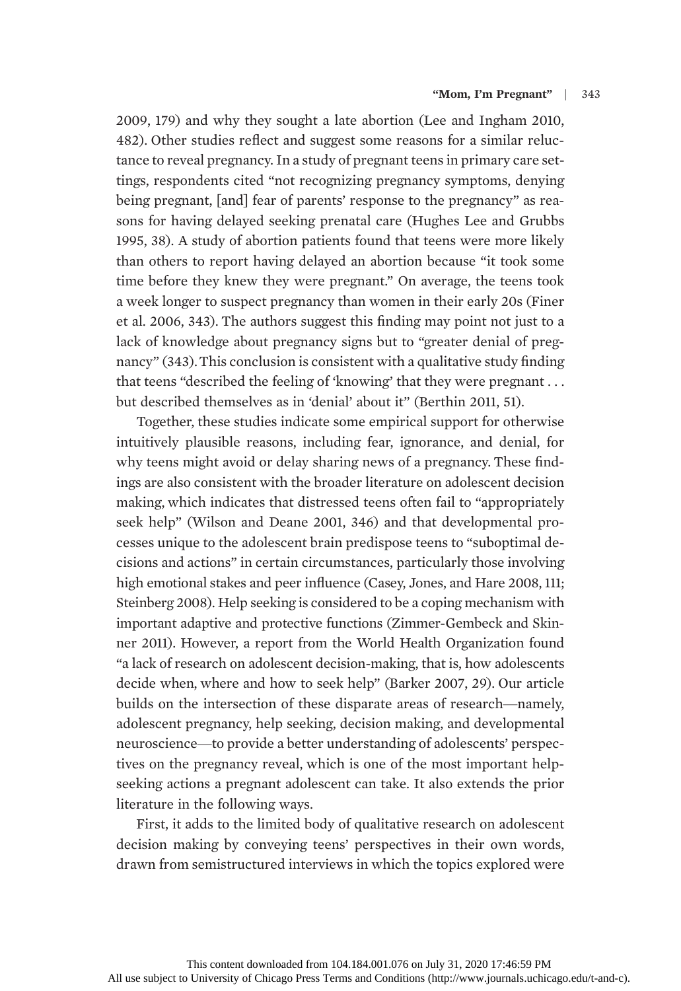2009, 179) and why they sought a late abortion (Lee and Ingham 2010, 482). Other studies reflect and suggest some reasons for a similar reluctance to reveal pregnancy. In a study of pregnant teens in primary care settings, respondents cited "not recognizing pregnancy symptoms, denying being pregnant, [and] fear of parents' response to the pregnancy" as reasons for having delayed seeking prenatal care (Hughes Lee and Grubbs 1995, 38). A study of abortion patients found that teens were more likely than others to report having delayed an abortion because "it took some time before they knew they were pregnant." On average, the teens took a week longer to suspect pregnancy than women in their early 20s (Finer et al. 2006, 343). The authors suggest this finding may point not just to a lack of knowledge about pregnancy signs but to "greater denial of pregnancy" (343).This conclusion is consistent with a qualitative study finding that teens "described the feeling of 'knowing' that they were pregnant . . . but described themselves as in 'denial' about it" (Berthin 2011, 51).

Together, these studies indicate some empirical support for otherwise intuitively plausible reasons, including fear, ignorance, and denial, for why teens might avoid or delay sharing news of a pregnancy. These findings are also consistent with the broader literature on adolescent decision making, which indicates that distressed teens often fail to "appropriately seek help" (Wilson and Deane 2001, 346) and that developmental processes unique to the adolescent brain predispose teens to "suboptimal decisions and actions" in certain circumstances, particularly those involving high emotional stakes and peer influence (Casey, Jones, and Hare 2008, 111; Steinberg 2008). Help seeking is considered to be a coping mechanism with important adaptive and protective functions (Zimmer-Gembeck and Skinner 2011). However, a report from the World Health Organization found "a lack of research on adolescent decision-making, that is, how adolescents decide when, where and how to seek help" (Barker 2007, 29). Our article builds on the intersection of these disparate areas of research—namely, adolescent pregnancy, help seeking, decision making, and developmental neuroscience—to provide a better understanding of adolescents' perspectives on the pregnancy reveal, which is one of the most important helpseeking actions a pregnant adolescent can take. It also extends the prior literature in the following ways.

First, it adds to the limited body of qualitative research on adolescent decision making by conveying teens' perspectives in their own words, drawn from semistructured interviews in which the topics explored were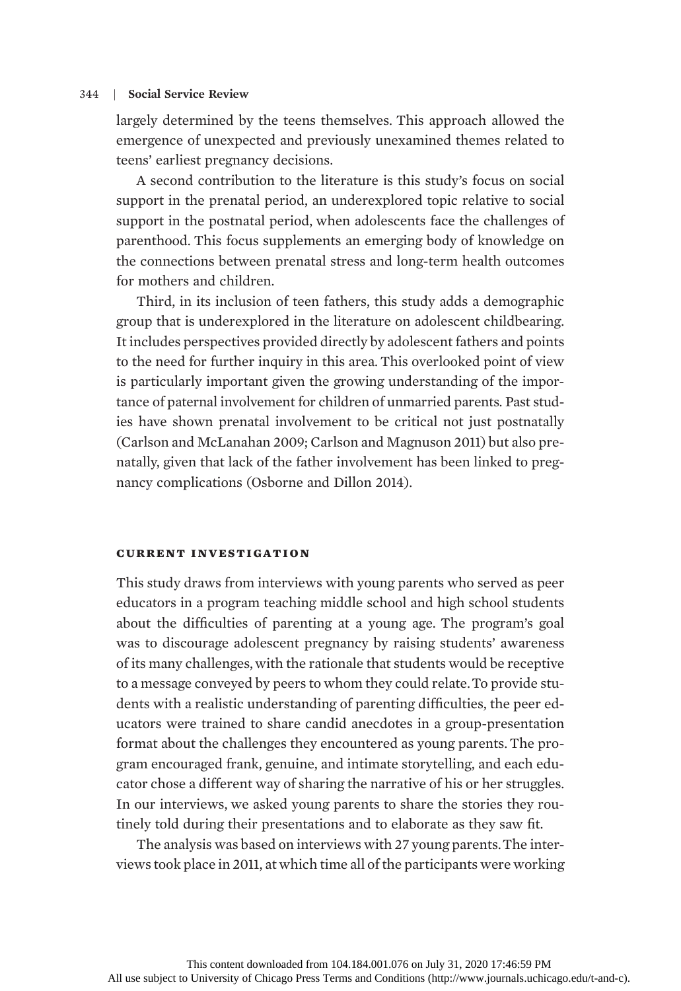largely determined by the teens themselves. This approach allowed the emergence of unexpected and previously unexamined themes related to teens' earliest pregnancy decisions.

A second contribution to the literature is this study's focus on social support in the prenatal period, an underexplored topic relative to social support in the postnatal period, when adolescents face the challenges of parenthood. This focus supplements an emerging body of knowledge on the connections between prenatal stress and long-term health outcomes for mothers and children.

Third, in its inclusion of teen fathers, this study adds a demographic group that is underexplored in the literature on adolescent childbearing. It includes perspectives provided directly by adolescent fathers and points to the need for further inquiry in this area. This overlooked point of view is particularly important given the growing understanding of the importance of paternal involvement for children of unmarried parents. Past studies have shown prenatal involvement to be critical not just postnatally (Carlson and McLanahan 2009; Carlson and Magnuson 2011) but also prenatally, given that lack of the father involvement has been linked to pregnancy complications (Osborne and Dillon 2014).

## current investigation

This study draws from interviews with young parents who served as peer educators in a program teaching middle school and high school students about the difficulties of parenting at a young age. The program's goal was to discourage adolescent pregnancy by raising students' awareness of its many challenges, with the rationale that students would be receptive to a message conveyed by peers to whom they could relate.To provide students with a realistic understanding of parenting difficulties, the peer educators were trained to share candid anecdotes in a group-presentation format about the challenges they encountered as young parents. The program encouraged frank, genuine, and intimate storytelling, and each educator chose a different way of sharing the narrative of his or her struggles. In our interviews, we asked young parents to share the stories they routinely told during their presentations and to elaborate as they saw fit.

The analysis was based on interviews with 27 young parents.The interviews took place in 2011, at which time all of the participants were working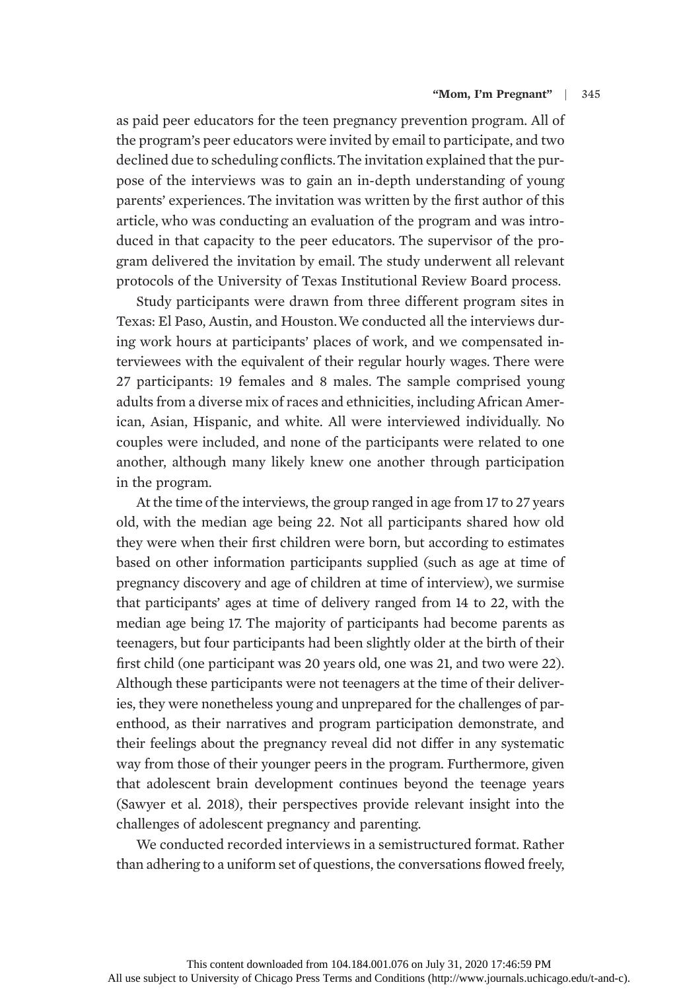as paid peer educators for the teen pregnancy prevention program. All of the program's peer educators were invited by email to participate, and two declined due to scheduling conflicts.The invitation explained that the purpose of the interviews was to gain an in-depth understanding of young parents' experiences. The invitation was written by the first author of this article, who was conducting an evaluation of the program and was introduced in that capacity to the peer educators. The supervisor of the program delivered the invitation by email. The study underwent all relevant protocols of the University of Texas Institutional Review Board process.

Study participants were drawn from three different program sites in Texas: El Paso, Austin, and Houston.We conducted all the interviews during work hours at participants' places of work, and we compensated interviewees with the equivalent of their regular hourly wages. There were 27 participants: 19 females and 8 males. The sample comprised young adults from a diverse mix of races and ethnicities, including African American, Asian, Hispanic, and white. All were interviewed individually. No couples were included, and none of the participants were related to one another, although many likely knew one another through participation in the program.

At the time of the interviews, the group ranged in age from 17 to 27 years old, with the median age being 22. Not all participants shared how old they were when their first children were born, but according to estimates based on other information participants supplied (such as age at time of pregnancy discovery and age of children at time of interview), we surmise that participants' ages at time of delivery ranged from 14 to 22, with the median age being 17. The majority of participants had become parents as teenagers, but four participants had been slightly older at the birth of their first child (one participant was 20 years old, one was 21, and two were 22). Although these participants were not teenagers at the time of their deliveries, they were nonetheless young and unprepared for the challenges of parenthood, as their narratives and program participation demonstrate, and their feelings about the pregnancy reveal did not differ in any systematic way from those of their younger peers in the program. Furthermore, given that adolescent brain development continues beyond the teenage years (Sawyer et al. 2018), their perspectives provide relevant insight into the challenges of adolescent pregnancy and parenting.

We conducted recorded interviews in a semistructured format. Rather than adhering to a uniform set of questions, the conversations flowed freely,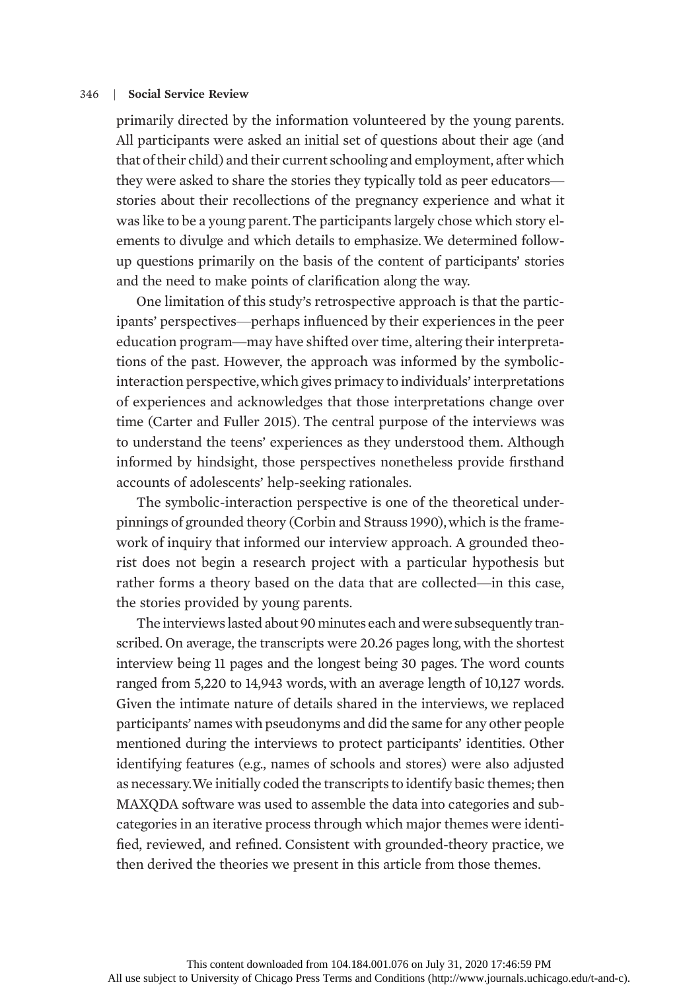primarily directed by the information volunteered by the young parents. All participants were asked an initial set of questions about their age (and that of their child) and their current schooling and employment, after which they were asked to share the stories they typically told as peer educators stories about their recollections of the pregnancy experience and what it was like to be a young parent.The participants largely chose which story elements to divulge and which details to emphasize.We determined followup questions primarily on the basis of the content of participants' stories and the need to make points of clarification along the way.

One limitation of this study's retrospective approach is that the participants' perspectives—perhaps influenced by their experiences in the peer education program—may have shifted over time, altering their interpretations of the past. However, the approach was informed by the symbolicinteraction perspective,which gives primacy to individuals' interpretations of experiences and acknowledges that those interpretations change over time (Carter and Fuller 2015). The central purpose of the interviews was to understand the teens' experiences as they understood them. Although informed by hindsight, those perspectives nonetheless provide firsthand accounts of adolescents' help-seeking rationales.

The symbolic-interaction perspective is one of the theoretical underpinnings of grounded theory (Corbin and Strauss 1990), which is the framework of inquiry that informed our interview approach. A grounded theorist does not begin a research project with a particular hypothesis but rather forms a theory based on the data that are collected—in this case, the stories provided by young parents.

The interviews lasted about 90 minutes each and were subsequently transcribed. On average, the transcripts were 20.26 pages long, with the shortest interview being 11 pages and the longest being 30 pages. The word counts ranged from 5,220 to 14,943 words, with an average length of 10,127 words. Given the intimate nature of details shared in the interviews, we replaced participants' names with pseudonyms and did the same for any other people mentioned during the interviews to protect participants' identities. Other identifying features (e.g., names of schools and stores) were also adjusted as necessary.We initially coded the transcripts to identify basic themes; then MAXQDA software was used to assemble the data into categories and subcategories in an iterative process through which major themes were identified, reviewed, and refined. Consistent with grounded-theory practice, we then derived the theories we present in this article from those themes.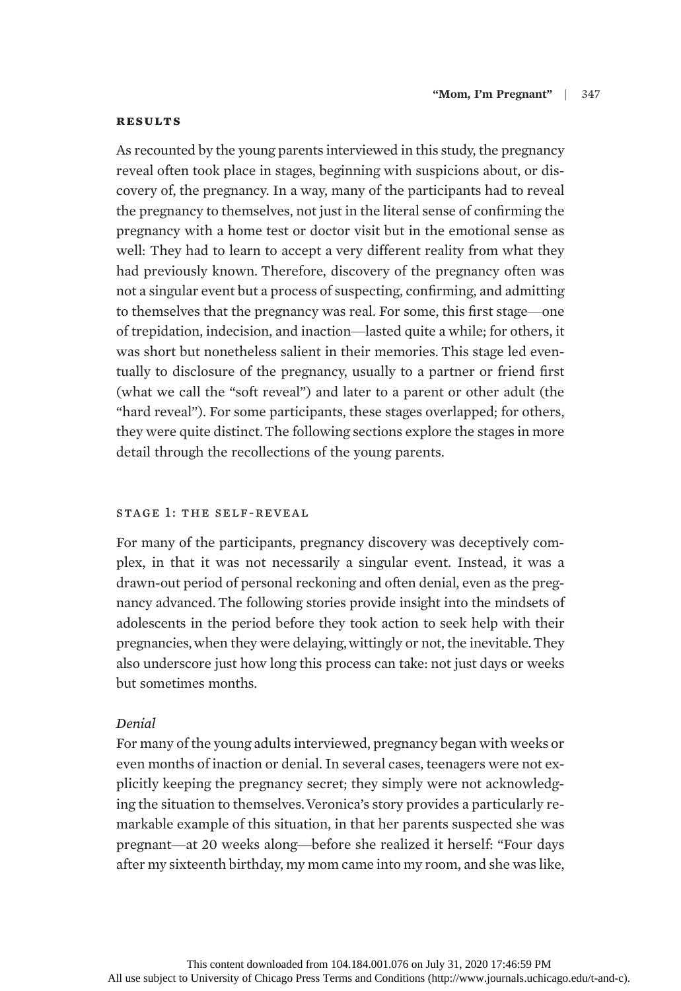#### **RESULTS**

As recounted by the young parents interviewed in this study, the pregnancy reveal often took place in stages, beginning with suspicions about, or discovery of, the pregnancy. In a way, many of the participants had to reveal the pregnancy to themselves, not just in the literal sense of confirming the pregnancy with a home test or doctor visit but in the emotional sense as well: They had to learn to accept a very different reality from what they had previously known. Therefore, discovery of the pregnancy often was not a singular event but a process of suspecting, confirming, and admitting to themselves that the pregnancy was real. For some, this first stage—one of trepidation, indecision, and inaction—lasted quite a while; for others, it was short but nonetheless salient in their memories. This stage led eventually to disclosure of the pregnancy, usually to a partner or friend first (what we call the "soft reveal") and later to a parent or other adult (the "hard reveal"). For some participants, these stages overlapped; for others, they were quite distinct.The following sections explore the stages in more detail through the recollections of the young parents.

## stage 1: the self-reveal

For many of the participants, pregnancy discovery was deceptively complex, in that it was not necessarily a singular event. Instead, it was a drawn-out period of personal reckoning and often denial, even as the pregnancy advanced. The following stories provide insight into the mindsets of adolescents in the period before they took action to seek help with their pregnancies,when they were delaying,wittingly or not, the inevitable.They also underscore just how long this process can take: not just days or weeks but sometimes months.

# Denial

For many of the young adults interviewed, pregnancy began with weeks or even months of inaction or denial. In several cases, teenagers were not explicitly keeping the pregnancy secret; they simply were not acknowledging the situation to themselves.Veronica's story provides a particularly remarkable example of this situation, in that her parents suspected she was pregnant—at 20 weeks along—before she realized it herself: "Four days after my sixteenth birthday, my mom came into my room, and she was like,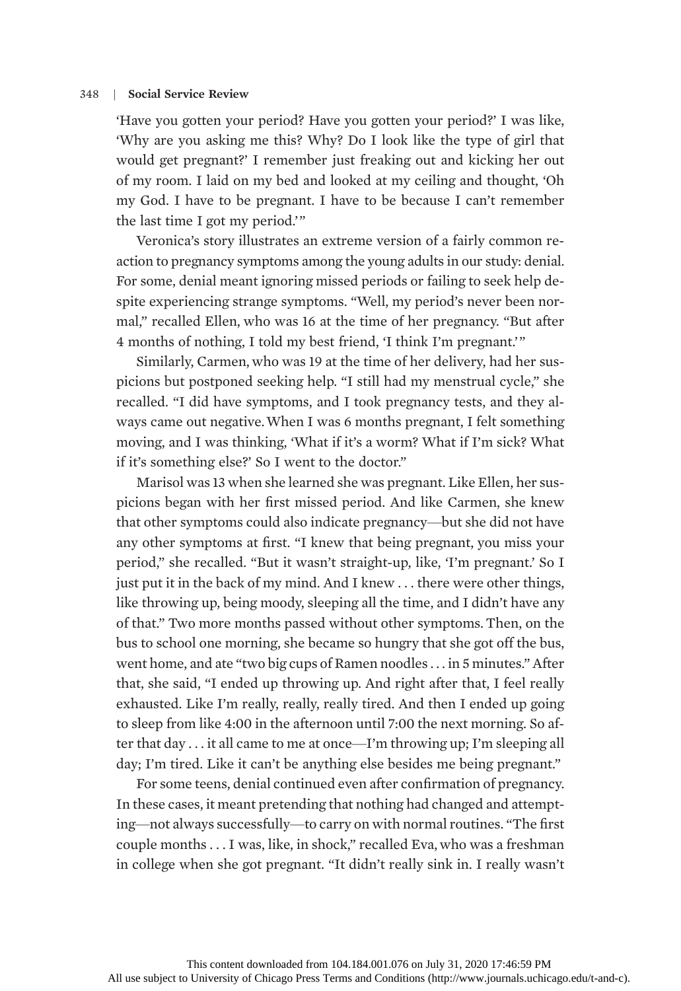'Have you gotten your period? Have you gotten your period?' I was like, 'Why are you asking me this? Why? Do I look like the type of girl that would get pregnant?' I remember just freaking out and kicking her out of my room. I laid on my bed and looked at my ceiling and thought, 'Oh my God. I have to be pregnant. I have to be because I can't remember the last time I got my period.'"

Veronica's story illustrates an extreme version of a fairly common reaction to pregnancy symptoms among the young adults in our study: denial. For some, denial meant ignoring missed periods or failing to seek help despite experiencing strange symptoms. "Well, my period's never been normal," recalled Ellen, who was 16 at the time of her pregnancy. "But after 4 months of nothing, I told my best friend, 'I think I'm pregnant.'"

Similarly, Carmen, who was 19 at the time of her delivery, had her suspicions but postponed seeking help. "I still had my menstrual cycle," she recalled. "I did have symptoms, and I took pregnancy tests, and they always came out negative.When I was 6 months pregnant, I felt something moving, and I was thinking, 'What if it's a worm? What if I'm sick? What if it's something else?' So I went to the doctor."

Marisol was 13 when she learned she was pregnant. Like Ellen, her suspicions began with her first missed period. And like Carmen, she knew that other symptoms could also indicate pregnancy—but she did not have any other symptoms at first. "I knew that being pregnant, you miss your period," she recalled. "But it wasn't straight-up, like, 'I'm pregnant.' So I just put it in the back of my mind. And I knew . . . there were other things, like throwing up, being moody, sleeping all the time, and I didn't have any of that." Two more months passed without other symptoms. Then, on the bus to school one morning, she became so hungry that she got off the bus, went home, and ate "two big cups of Ramen noodles . . . in 5 minutes." After that, she said, "I ended up throwing up. And right after that, I feel really exhausted. Like I'm really, really, really tired. And then I ended up going to sleep from like 4:00 in the afternoon until 7:00 the next morning. So after that day . . . it all came to me at once—I'm throwing up; I'm sleeping all day; I'm tired. Like it can't be anything else besides me being pregnant."

For some teens, denial continued even after confirmation of pregnancy. In these cases, it meant pretending that nothing had changed and attempting—not always successfully—to carry on with normal routines. "The first couple months . . . I was, like, in shock," recalled Eva, who was a freshman in college when she got pregnant. "It didn't really sink in. I really wasn't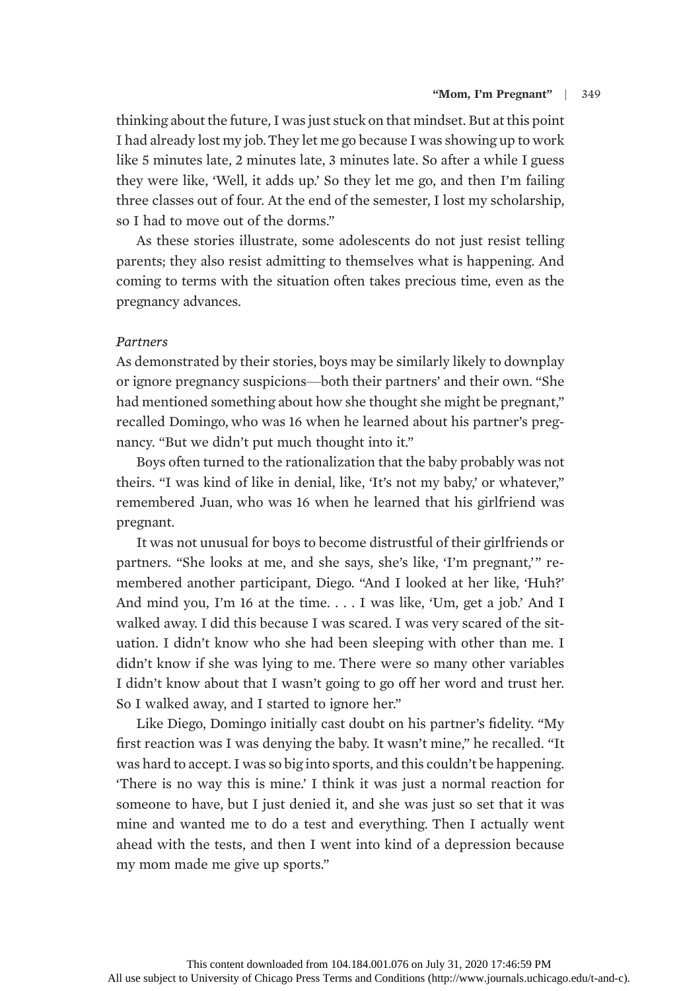thinking about the future, I was just stuck on that mindset. But at this point I had already lost my job.They let me go because I was showing up to work like 5 minutes late, 2 minutes late, 3 minutes late. So after a while I guess they were like, 'Well, it adds up.' So they let me go, and then I'm failing three classes out of four. At the end of the semester, I lost my scholarship, so I had to move out of the dorms."

As these stories illustrate, some adolescents do not just resist telling parents; they also resist admitting to themselves what is happening. And coming to terms with the situation often takes precious time, even as the pregnancy advances.

# **Partners**

As demonstrated by their stories, boys may be similarly likely to downplay or ignore pregnancy suspicions—both their partners' and their own. "She had mentioned something about how she thought she might be pregnant," recalled Domingo, who was 16 when he learned about his partner's pregnancy. "But we didn't put much thought into it."

Boys often turned to the rationalization that the baby probably was not theirs. "I was kind of like in denial, like, 'It's not my baby,' or whatever," remembered Juan, who was 16 when he learned that his girlfriend was pregnant.

It was not unusual for boys to become distrustful of their girlfriends or partners. "She looks at me, and she says, she's like, 'I'm pregnant,'" remembered another participant, Diego. "And I looked at her like, 'Huh?' And mind you, I'm 16 at the time. . . . I was like, 'Um, get a job.' And I walked away. I did this because I was scared. I was very scared of the situation. I didn't know who she had been sleeping with other than me. I didn't know if she was lying to me. There were so many other variables I didn't know about that I wasn't going to go off her word and trust her. So I walked away, and I started to ignore her."

Like Diego, Domingo initially cast doubt on his partner's fidelity. "My first reaction was I was denying the baby. It wasn't mine," he recalled. "It was hard to accept. I was so big into sports, and this couldn't be happening. 'There is no way this is mine.' I think it was just a normal reaction for someone to have, but I just denied it, and she was just so set that it was mine and wanted me to do a test and everything. Then I actually went ahead with the tests, and then I went into kind of a depression because my mom made me give up sports."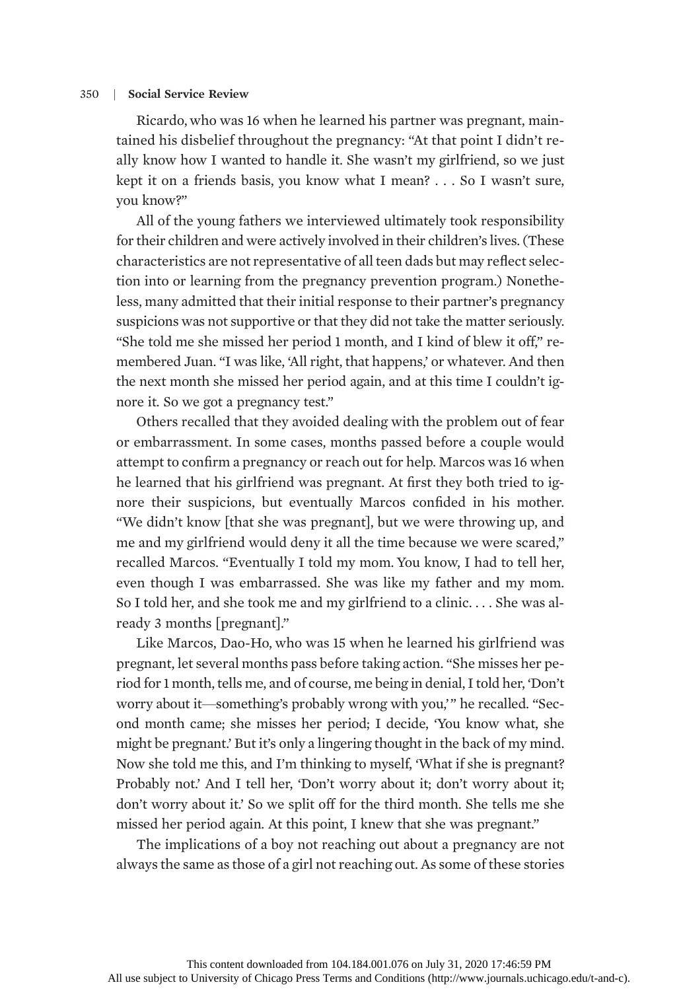Ricardo, who was 16 when he learned his partner was pregnant, maintained his disbelief throughout the pregnancy: "At that point I didn't really know how I wanted to handle it. She wasn't my girlfriend, so we just kept it on a friends basis, you know what I mean? . . . So I wasn't sure, you know?"

All of the young fathers we interviewed ultimately took responsibility for their children and were actively involved in their children's lives. (These characteristics are not representative of all teen dads but may reflect selection into or learning from the pregnancy prevention program.) Nonetheless, many admitted that their initial response to their partner's pregnancy suspicions was not supportive or that they did not take the matter seriously. "She told me she missed her period 1 month, and I kind of blew it off," remembered Juan. "I was like, 'All right, that happens,' or whatever. And then the next month she missed her period again, and at this time I couldn't ignore it. So we got a pregnancy test."

Others recalled that they avoided dealing with the problem out of fear or embarrassment. In some cases, months passed before a couple would attempt to confirm a pregnancy or reach out for help. Marcos was 16 when he learned that his girlfriend was pregnant. At first they both tried to ignore their suspicions, but eventually Marcos confided in his mother. "We didn't know [that she was pregnant], but we were throwing up, and me and my girlfriend would deny it all the time because we were scared," recalled Marcos. "Eventually I told my mom. You know, I had to tell her, even though I was embarrassed. She was like my father and my mom. So I told her, and she took me and my girlfriend to a clinic. . . . She was already 3 months [pregnant]."

Like Marcos, Dao-Ho, who was 15 when he learned his girlfriend was pregnant, let several months pass before taking action. "She misses her period for 1 month, tells me, and of course, me being in denial, I told her, 'Don't worry about it—something's probably wrong with you,'" he recalled. "Second month came; she misses her period; I decide, 'You know what, she might be pregnant.' But it's only a lingering thought in the back of my mind. Now she told me this, and I'm thinking to myself, 'What if she is pregnant? Probably not.' And I tell her, 'Don't worry about it; don't worry about it; don't worry about it.' So we split off for the third month. She tells me she missed her period again. At this point, I knew that she was pregnant."

The implications of a boy not reaching out about a pregnancy are not always the same as those of a girl not reaching out. As some of these stories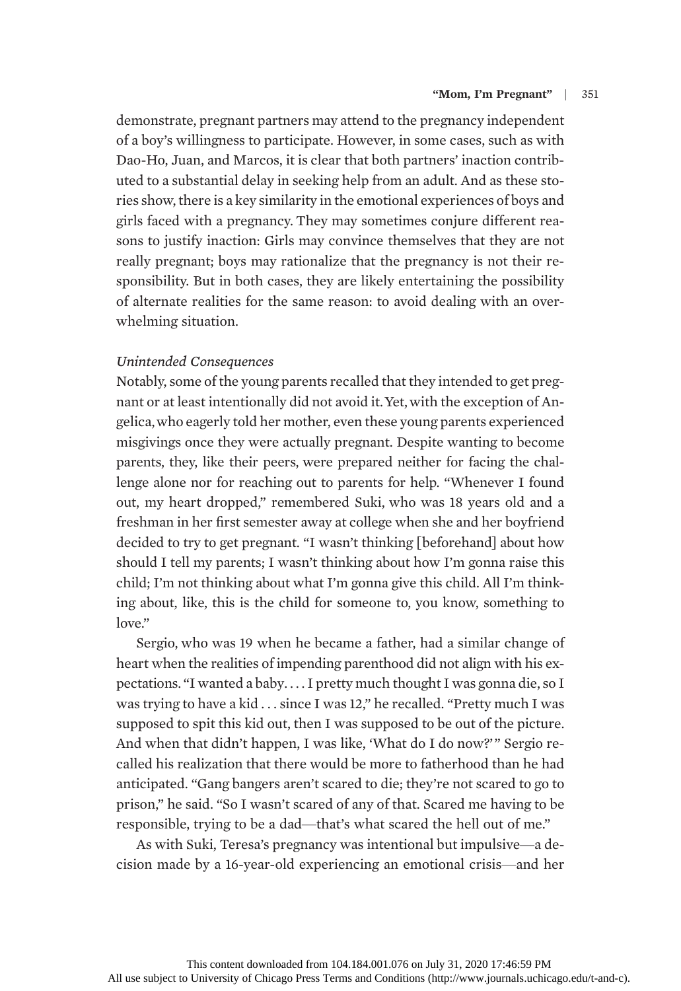demonstrate, pregnant partners may attend to the pregnancy independent of a boy's willingness to participate. However, in some cases, such as with Dao-Ho, Juan, and Marcos, it is clear that both partners' inaction contributed to a substantial delay in seeking help from an adult. And as these stories show, there is a key similarity in the emotional experiences of boys and girls faced with a pregnancy. They may sometimes conjure different reasons to justify inaction: Girls may convince themselves that they are not really pregnant; boys may rationalize that the pregnancy is not their responsibility. But in both cases, they are likely entertaining the possibility of alternate realities for the same reason: to avoid dealing with an overwhelming situation.

# Unintended Consequences

Notably, some of the young parents recalled that they intended to get pregnant or at least intentionally did not avoid it. Yet, with the exception of Angelica,who eagerly told her mother, even these young parents experienced misgivings once they were actually pregnant. Despite wanting to become parents, they, like their peers, were prepared neither for facing the challenge alone nor for reaching out to parents for help. "Whenever I found out, my heart dropped," remembered Suki, who was 18 years old and a freshman in her first semester away at college when she and her boyfriend decided to try to get pregnant. "I wasn't thinking [beforehand] about how should I tell my parents; I wasn't thinking about how I'm gonna raise this child; I'm not thinking about what I'm gonna give this child. All I'm thinking about, like, this is the child for someone to, you know, something to love."

Sergio, who was 19 when he became a father, had a similar change of heart when the realities of impending parenthood did not align with his expectations. "I wanted a baby. . . . I pretty much thought I was gonna die, so I was trying to have a kid . . . since I was 12," he recalled. "Pretty much I was supposed to spit this kid out, then I was supposed to be out of the picture. And when that didn't happen, I was like, 'What do I do now?'" Sergio recalled his realization that there would be more to fatherhood than he had anticipated. "Gang bangers aren't scared to die; they're not scared to go to prison," he said. "So I wasn't scared of any of that. Scared me having to be responsible, trying to be a dad—that's what scared the hell out of me."

As with Suki, Teresa's pregnancy was intentional but impulsive—a decision made by a 16-year-old experiencing an emotional crisis—and her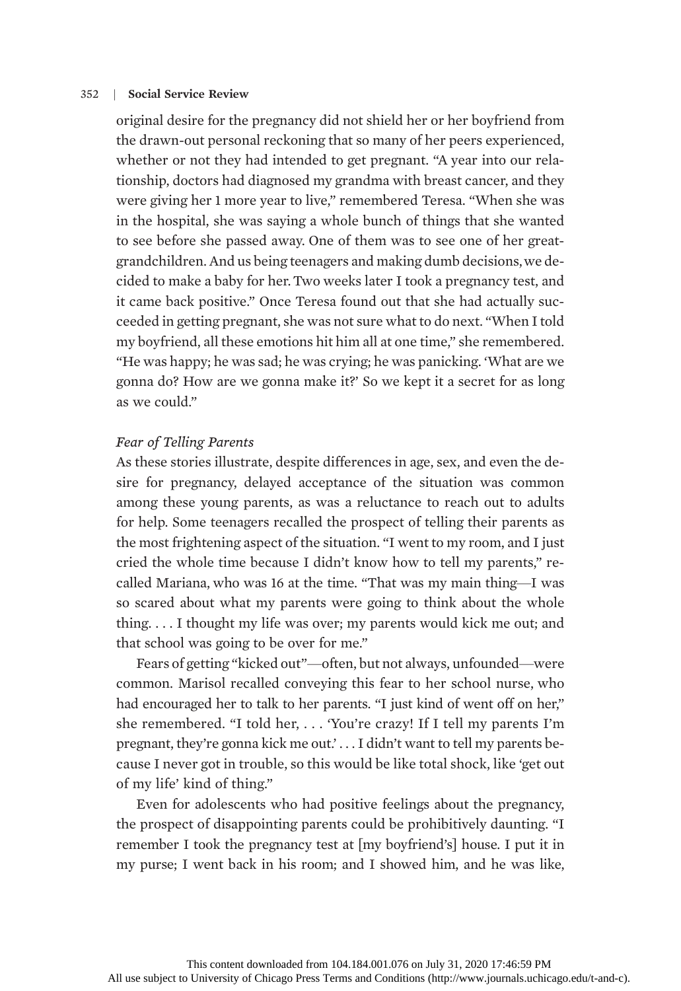original desire for the pregnancy did not shield her or her boyfriend from the drawn-out personal reckoning that so many of her peers experienced, whether or not they had intended to get pregnant. "A year into our relationship, doctors had diagnosed my grandma with breast cancer, and they were giving her 1 more year to live," remembered Teresa. "When she was in the hospital, she was saying a whole bunch of things that she wanted to see before she passed away. One of them was to see one of her greatgrandchildren. And us being teenagers and making dumb decisions,we decided to make a baby for her. Two weeks later I took a pregnancy test, and it came back positive." Once Teresa found out that she had actually succeeded in getting pregnant, she was not sure what to do next. "When I told my boyfriend, all these emotions hit him all at one time," she remembered. "He was happy; he was sad; he was crying; he was panicking. 'What are we gonna do? How are we gonna make it?' So we kept it a secret for as long as we could."

# Fear of Telling Parents

As these stories illustrate, despite differences in age, sex, and even the desire for pregnancy, delayed acceptance of the situation was common among these young parents, as was a reluctance to reach out to adults for help. Some teenagers recalled the prospect of telling their parents as the most frightening aspect of the situation. "I went to my room, and I just cried the whole time because I didn't know how to tell my parents," recalled Mariana, who was 16 at the time. "That was my main thing—I was so scared about what my parents were going to think about the whole thing. . . . I thought my life was over; my parents would kick me out; and that school was going to be over for me."

Fears of getting "kicked out"—often, but not always, unfounded—were common. Marisol recalled conveying this fear to her school nurse, who had encouraged her to talk to her parents. "I just kind of went off on her," she remembered. "I told her, . . . 'You're crazy! If I tell my parents I'm pregnant, they're gonna kick me out.' . . . I didn't want to tell my parents because I never got in trouble, so this would be like total shock, like 'get out of my life' kind of thing."

Even for adolescents who had positive feelings about the pregnancy, the prospect of disappointing parents could be prohibitively daunting. "I remember I took the pregnancy test at [my boyfriend's] house. I put it in my purse; I went back in his room; and I showed him, and he was like,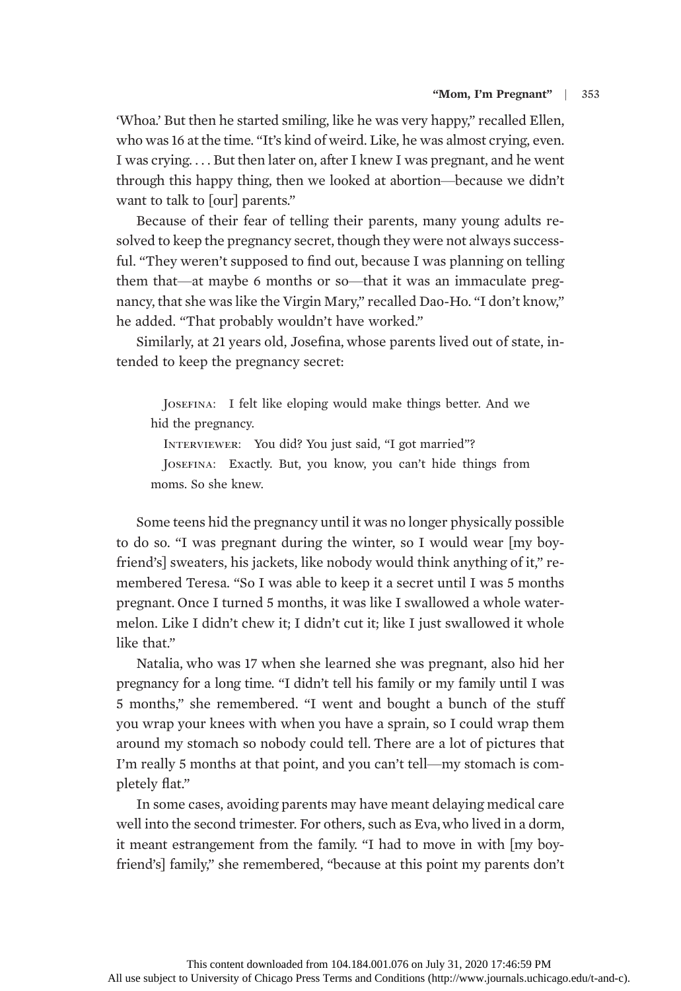'Whoa.' But then he started smiling, like he was very happy," recalled Ellen, who was 16 at the time. "It's kind of weird. Like, he was almost crying, even. I was crying. . . . But then later on, after I knew I was pregnant, and he went through this happy thing, then we looked at abortion—because we didn't want to talk to [our] parents."

Because of their fear of telling their parents, many young adults resolved to keep the pregnancy secret, though they were not always successful. "They weren't supposed to find out, because I was planning on telling them that—at maybe 6 months or so—that it was an immaculate pregnancy, that she was like the Virgin Mary," recalled Dao-Ho. "I don't know," he added. "That probably wouldn't have worked."

Similarly, at 21 years old, Josefina, whose parents lived out of state, intended to keep the pregnancy secret:

JOSEFINA: I felt like eloping would make things better. And we hid the pregnancy.

INTERVIEWER: You did? You just said, "I got married"?

JOSEFINA: Exactly. But, you know, you can't hide things from moms. So she knew.

Some teens hid the pregnancy until it was no longer physically possible to do so. "I was pregnant during the winter, so I would wear [my boyfriend's] sweaters, his jackets, like nobody would think anything of it," remembered Teresa. "So I was able to keep it a secret until I was 5 months pregnant. Once I turned 5 months, it was like I swallowed a whole watermelon. Like I didn't chew it; I didn't cut it; like I just swallowed it whole like that."

Natalia, who was 17 when she learned she was pregnant, also hid her pregnancy for a long time. "I didn't tell his family or my family until I was 5 months," she remembered. "I went and bought a bunch of the stuff you wrap your knees with when you have a sprain, so I could wrap them around my stomach so nobody could tell. There are a lot of pictures that I'm really 5 months at that point, and you can't tell—my stomach is completely flat."

In some cases, avoiding parents may have meant delaying medical care well into the second trimester. For others, such as Eva,who lived in a dorm, it meant estrangement from the family. "I had to move in with [my boyfriend's] family," she remembered, "because at this point my parents don't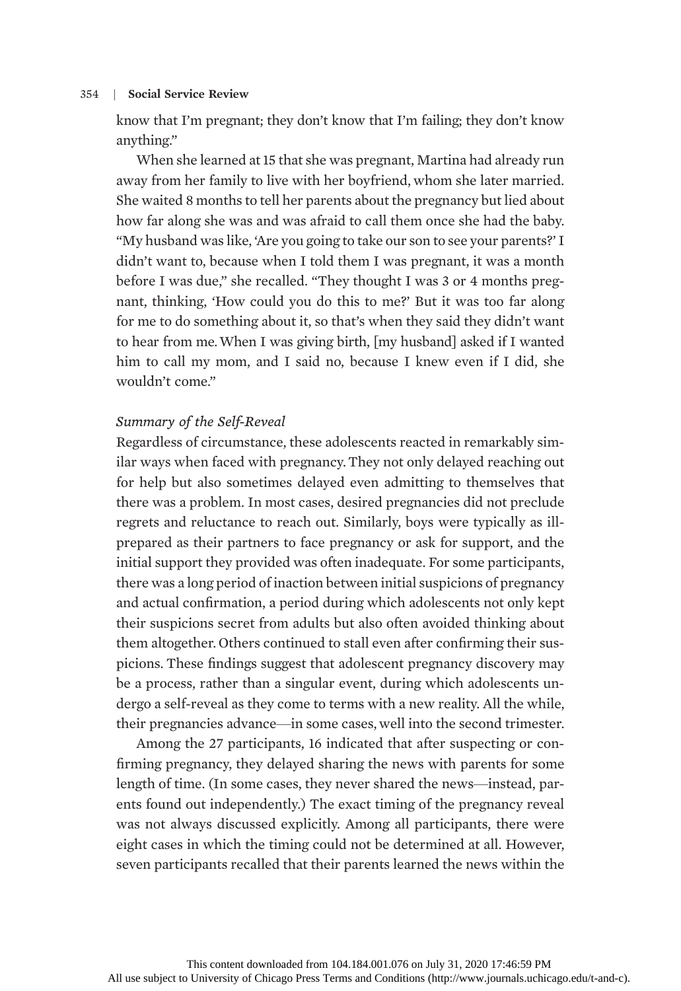know that I'm pregnant; they don't know that I'm failing; they don't know anything."

When she learned at 15 that she was pregnant, Martina had already run away from her family to live with her boyfriend, whom she later married. She waited 8 months to tell her parents about the pregnancy but lied about how far along she was and was afraid to call them once she had the baby. "My husband was like, 'Are you going to take our son to see your parents?' I didn't want to, because when I told them I was pregnant, it was a month before I was due," she recalled. "They thought I was 3 or 4 months pregnant, thinking, 'How could you do this to me?' But it was too far along for me to do something about it, so that's when they said they didn't want to hear from me.When I was giving birth, [my husband] asked if I wanted him to call my mom, and I said no, because I knew even if I did, she wouldn't come."

# Summary of the Self-Reveal

Regardless of circumstance, these adolescents reacted in remarkably similar ways when faced with pregnancy. They not only delayed reaching out for help but also sometimes delayed even admitting to themselves that there was a problem. In most cases, desired pregnancies did not preclude regrets and reluctance to reach out. Similarly, boys were typically as illprepared as their partners to face pregnancy or ask for support, and the initial support they provided was often inadequate. For some participants, there was a long period of inaction between initial suspicions of pregnancy and actual confirmation, a period during which adolescents not only kept their suspicions secret from adults but also often avoided thinking about them altogether. Others continued to stall even after confirming their suspicions. These findings suggest that adolescent pregnancy discovery may be a process, rather than a singular event, during which adolescents undergo a self-reveal as they come to terms with a new reality. All the while, their pregnancies advance—in some cases, well into the second trimester.

Among the 27 participants, 16 indicated that after suspecting or confirming pregnancy, they delayed sharing the news with parents for some length of time. (In some cases, they never shared the news—instead, parents found out independently.) The exact timing of the pregnancy reveal was not always discussed explicitly. Among all participants, there were eight cases in which the timing could not be determined at all. However, seven participants recalled that their parents learned the news within the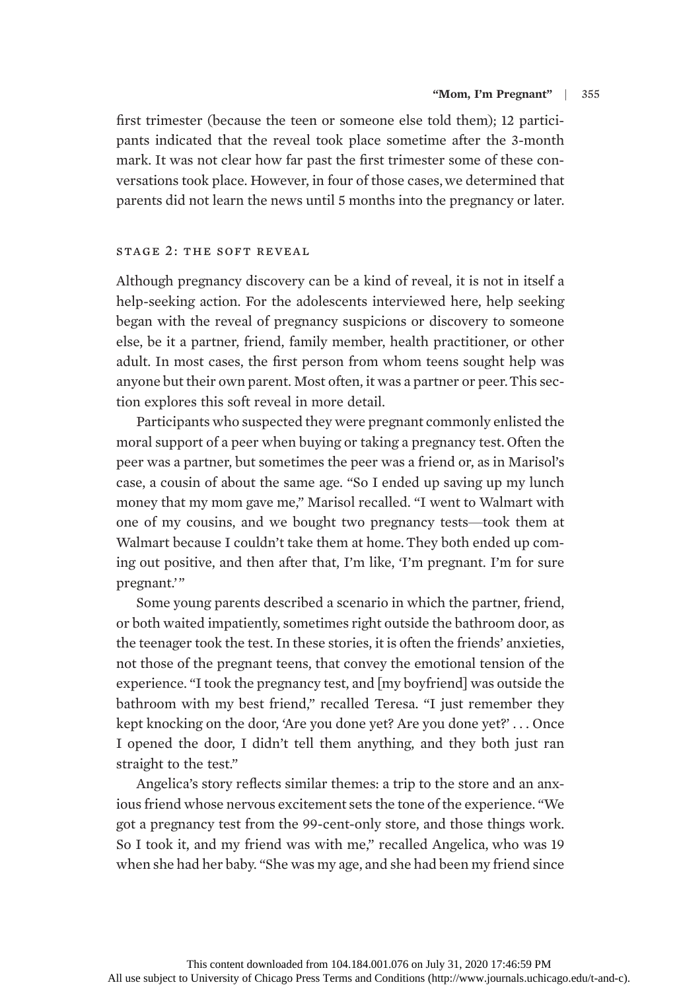first trimester (because the teen or someone else told them); 12 participants indicated that the reveal took place sometime after the 3-month mark. It was not clear how far past the first trimester some of these conversations took place. However, in four of those cases, we determined that parents did not learn the news until 5 months into the pregnancy or later.

## stage 2: the soft reveal

Although pregnancy discovery can be a kind of reveal, it is not in itself a help-seeking action. For the adolescents interviewed here, help seeking began with the reveal of pregnancy suspicions or discovery to someone else, be it a partner, friend, family member, health practitioner, or other adult. In most cases, the first person from whom teens sought help was anyone but their own parent. Most often, it was a partner or peer.This section explores this soft reveal in more detail.

Participants who suspected they were pregnant commonly enlisted the moral support of a peer when buying or taking a pregnancy test. Often the peer was a partner, but sometimes the peer was a friend or, as in Marisol's case, a cousin of about the same age. "So I ended up saving up my lunch money that my mom gave me," Marisol recalled. "I went to Walmart with one of my cousins, and we bought two pregnancy tests—took them at Walmart because I couldn't take them at home. They both ended up coming out positive, and then after that, I'm like, 'I'm pregnant. I'm for sure pregnant.'"

Some young parents described a scenario in which the partner, friend, or both waited impatiently, sometimes right outside the bathroom door, as the teenager took the test. In these stories, it is often the friends' anxieties, not those of the pregnant teens, that convey the emotional tension of the experience. "I took the pregnancy test, and [my boyfriend] was outside the bathroom with my best friend," recalled Teresa. "I just remember they kept knocking on the door, 'Are you done yet? Are you done yet?' . . . Once I opened the door, I didn't tell them anything, and they both just ran straight to the test."

Angelica's story reflects similar themes: a trip to the store and an anxious friend whose nervous excitement sets the tone of the experience. "We got a pregnancy test from the 99-cent-only store, and those things work. So I took it, and my friend was with me," recalled Angelica, who was 19 when she had her baby. "She was my age, and she had been my friend since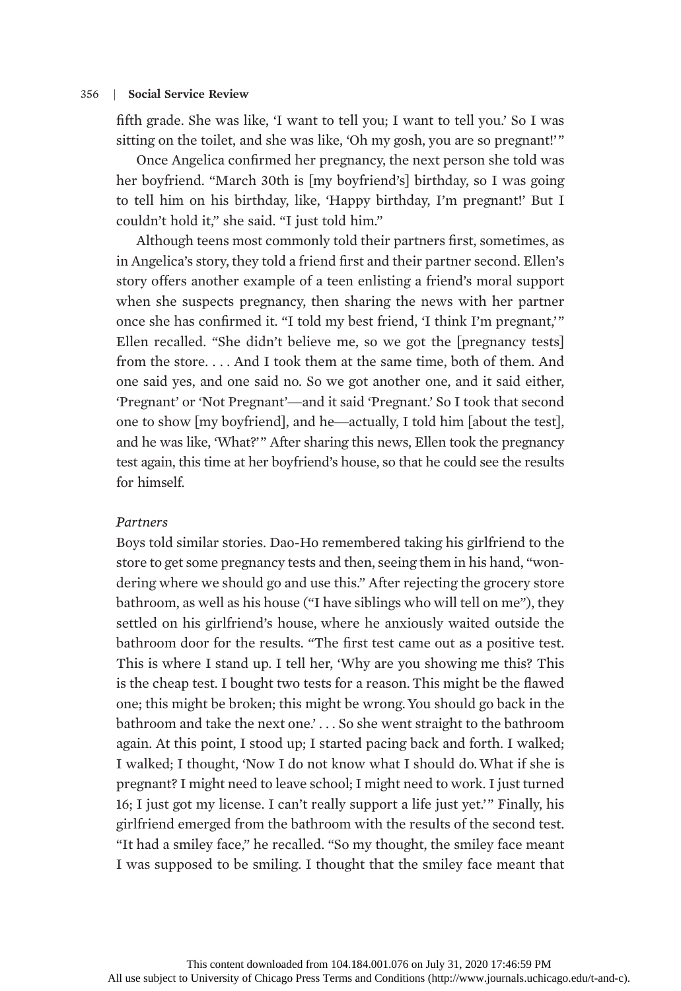fifth grade. She was like, 'I want to tell you; I want to tell you.' So I was sitting on the toilet, and she was like, 'Oh my gosh, you are so pregnant!'"

Once Angelica confirmed her pregnancy, the next person she told was her boyfriend. "March 30th is [my boyfriend's] birthday, so I was going to tell him on his birthday, like, 'Happy birthday, I'm pregnant!' But I couldn't hold it," she said. "I just told him."

Although teens most commonly told their partners first, sometimes, as in Angelica's story, they told a friend first and their partner second. Ellen's story offers another example of a teen enlisting a friend's moral support when she suspects pregnancy, then sharing the news with her partner once she has confirmed it. "I told my best friend, 'I think I'm pregnant,'" Ellen recalled. "She didn't believe me, so we got the [pregnancy tests] from the store. . . . And I took them at the same time, both of them. And one said yes, and one said no. So we got another one, and it said either, 'Pregnant' or 'Not Pregnant'—and it said 'Pregnant.' So I took that second one to show [my boyfriend], and he—actually, I told him [about the test], and he was like, 'What?'" After sharing this news, Ellen took the pregnancy test again, this time at her boyfriend's house, so that he could see the results for himself.

# Partners

Boys told similar stories. Dao-Ho remembered taking his girlfriend to the store to get some pregnancy tests and then, seeing them in his hand, "wondering where we should go and use this." After rejecting the grocery store bathroom, as well as his house ("I have siblings who will tell on me"), they settled on his girlfriend's house, where he anxiously waited outside the bathroom door for the results. "The first test came out as a positive test. This is where I stand up. I tell her, 'Why are you showing me this? This is the cheap test. I bought two tests for a reason. This might be the flawed one; this might be broken; this might be wrong. You should go back in the bathroom and take the next one.' . . . So she went straight to the bathroom again. At this point, I stood up; I started pacing back and forth. I walked; I walked; I thought, 'Now I do not know what I should do.What if she is pregnant? I might need to leave school; I might need to work. I just turned 16; I just got my license. I can't really support a life just yet.'" Finally, his girlfriend emerged from the bathroom with the results of the second test. "It had a smiley face," he recalled. "So my thought, the smiley face meant I was supposed to be smiling. I thought that the smiley face meant that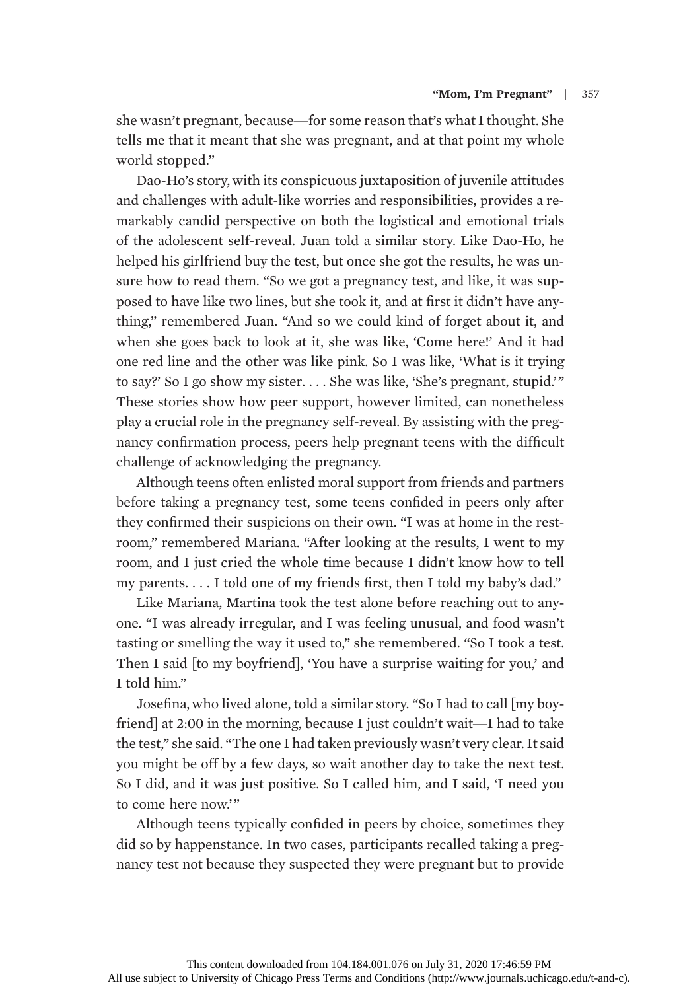she wasn't pregnant, because—for some reason that's what I thought. She tells me that it meant that she was pregnant, and at that point my whole world stopped."

Dao-Ho's story, with its conspicuous juxtaposition of juvenile attitudes and challenges with adult-like worries and responsibilities, provides a remarkably candid perspective on both the logistical and emotional trials of the adolescent self-reveal. Juan told a similar story. Like Dao-Ho, he helped his girlfriend buy the test, but once she got the results, he was unsure how to read them. "So we got a pregnancy test, and like, it was supposed to have like two lines, but she took it, and at first it didn't have anything," remembered Juan. "And so we could kind of forget about it, and when she goes back to look at it, she was like, 'Come here!' And it had one red line and the other was like pink. So I was like, 'What is it trying to say?' So I go show my sister. . . . She was like, 'She's pregnant, stupid.'" These stories show how peer support, however limited, can nonetheless play a crucial role in the pregnancy self-reveal. By assisting with the pregnancy confirmation process, peers help pregnant teens with the difficult challenge of acknowledging the pregnancy.

Although teens often enlisted moral support from friends and partners before taking a pregnancy test, some teens confided in peers only after they confirmed their suspicions on their own. "I was at home in the restroom," remembered Mariana. "After looking at the results, I went to my room, and I just cried the whole time because I didn't know how to tell my parents. ...I told one of my friends first, then I told my baby's dad."

Like Mariana, Martina took the test alone before reaching out to anyone. "I was already irregular, and I was feeling unusual, and food wasn't tasting or smelling the way it used to," she remembered. "So I took a test. Then I said [to my boyfriend], 'You have a surprise waiting for you,' and I told him."

Josefina, who lived alone, told a similar story. "So I had to call [my boyfriend] at 2:00 in the morning, because I just couldn't wait—I had to take the test," she said. "The one I had taken previously wasn't very clear. It said you might be off by a few days, so wait another day to take the next test. So I did, and it was just positive. So I called him, and I said, 'I need you to come here now.'"

Although teens typically confided in peers by choice, sometimes they did so by happenstance. In two cases, participants recalled taking a pregnancy test not because they suspected they were pregnant but to provide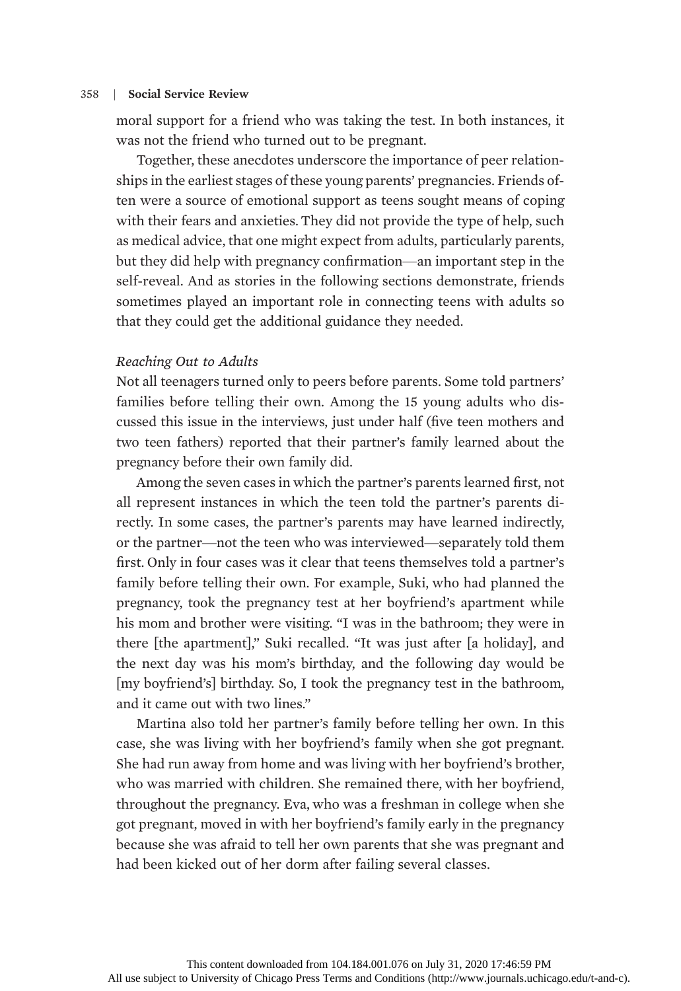moral support for a friend who was taking the test. In both instances, it was not the friend who turned out to be pregnant.

Together, these anecdotes underscore the importance of peer relationships in the earliest stages of these young parents' pregnancies. Friends often were a source of emotional support as teens sought means of coping with their fears and anxieties. They did not provide the type of help, such as medical advice, that one might expect from adults, particularly parents, but they did help with pregnancy confirmation—an important step in the self-reveal. And as stories in the following sections demonstrate, friends sometimes played an important role in connecting teens with adults so that they could get the additional guidance they needed.

# Reaching Out to Adults

Not all teenagers turned only to peers before parents. Some told partners' families before telling their own. Among the 15 young adults who discussed this issue in the interviews, just under half (five teen mothers and two teen fathers) reported that their partner's family learned about the pregnancy before their own family did.

Among the seven cases in which the partner's parents learned first, not all represent instances in which the teen told the partner's parents directly. In some cases, the partner's parents may have learned indirectly, or the partner—not the teen who was interviewed—separately told them first. Only in four cases was it clear that teens themselves told a partner's family before telling their own. For example, Suki, who had planned the pregnancy, took the pregnancy test at her boyfriend's apartment while his mom and brother were visiting. "I was in the bathroom; they were in there [the apartment]," Suki recalled. "It was just after [a holiday], and the next day was his mom's birthday, and the following day would be [my boyfriend's] birthday. So, I took the pregnancy test in the bathroom, and it came out with two lines."

Martina also told her partner's family before telling her own. In this case, she was living with her boyfriend's family when she got pregnant. She had run away from home and was living with her boyfriend's brother, who was married with children. She remained there, with her boyfriend, throughout the pregnancy. Eva, who was a freshman in college when she got pregnant, moved in with her boyfriend's family early in the pregnancy because she was afraid to tell her own parents that she was pregnant and had been kicked out of her dorm after failing several classes.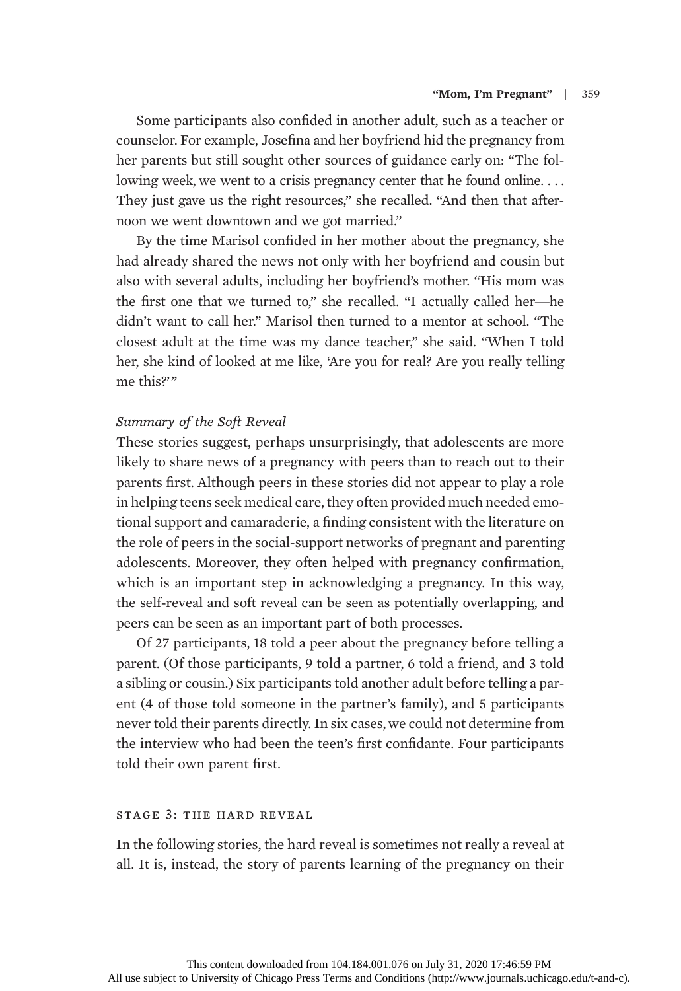Some participants also confided in another adult, such as a teacher or counselor. For example, Josefina and her boyfriend hid the pregnancy from her parents but still sought other sources of guidance early on: "The following week, we went to a crisis pregnancy center that he found online.... They just gave us the right resources," she recalled. "And then that afternoon we went downtown and we got married."

By the time Marisol confided in her mother about the pregnancy, she had already shared the news not only with her boyfriend and cousin but also with several adults, including her boyfriend's mother. "His mom was the first one that we turned to," she recalled. "I actually called her—he didn't want to call her." Marisol then turned to a mentor at school. "The closest adult at the time was my dance teacher," she said. "When I told her, she kind of looked at me like, 'Are you for real? Are you really telling me this?'"

# Summary of the Soft Reveal

These stories suggest, perhaps unsurprisingly, that adolescents are more likely to share news of a pregnancy with peers than to reach out to their parents first. Although peers in these stories did not appear to play a role in helping teens seek medical care, they often provided much needed emotional support and camaraderie, a finding consistent with the literature on the role of peers in the social-support networks of pregnant and parenting adolescents. Moreover, they often helped with pregnancy confirmation, which is an important step in acknowledging a pregnancy. In this way, the self-reveal and soft reveal can be seen as potentially overlapping, and peers can be seen as an important part of both processes.

Of 27 participants, 18 told a peer about the pregnancy before telling a parent. (Of those participants, 9 told a partner, 6 told a friend, and 3 told a sibling or cousin.) Six participants told another adult before telling a parent (4 of those told someone in the partner's family), and 5 participants never told their parents directly. In six cases,we could not determine from the interview who had been the teen's first confidante. Four participants told their own parent first.

# stage 3: the hard reveal

In the following stories, the hard reveal is sometimes not really a reveal at all. It is, instead, the story of parents learning of the pregnancy on their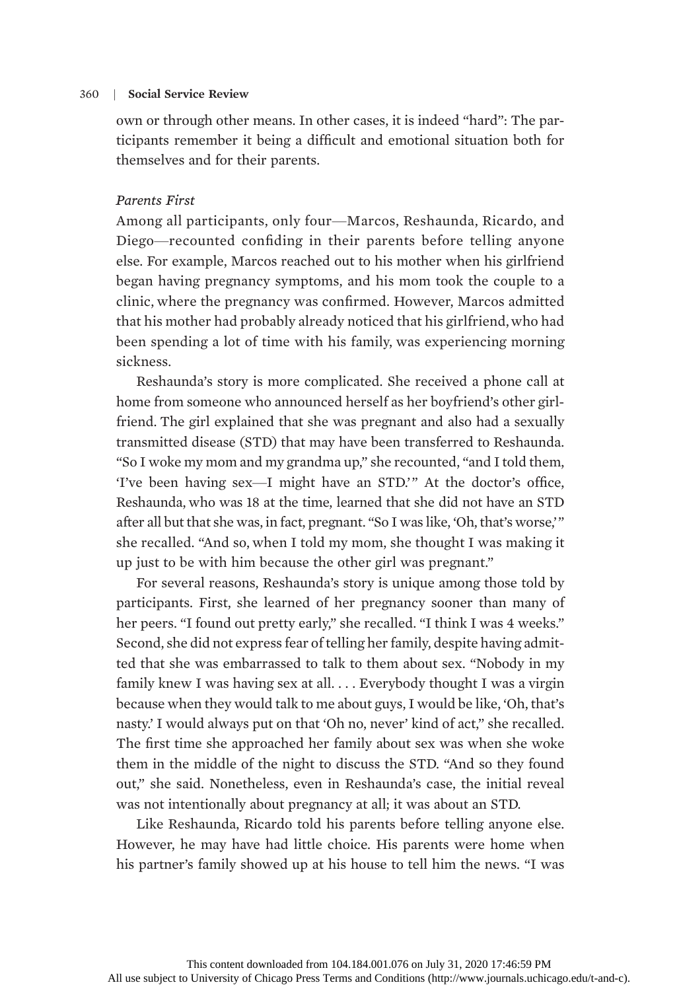own or through other means. In other cases, it is indeed "hard": The participants remember it being a difficult and emotional situation both for themselves and for their parents.

## Parents First

Among all participants, only four—Marcos, Reshaunda, Ricardo, and Diego—recounted confiding in their parents before telling anyone else. For example, Marcos reached out to his mother when his girlfriend began having pregnancy symptoms, and his mom took the couple to a clinic, where the pregnancy was confirmed. However, Marcos admitted that his mother had probably already noticed that his girlfriend,who had been spending a lot of time with his family, was experiencing morning sickness.

Reshaunda's story is more complicated. She received a phone call at home from someone who announced herself as her boyfriend's other girlfriend. The girl explained that she was pregnant and also had a sexually transmitted disease (STD) that may have been transferred to Reshaunda. "So I woke my mom and my grandma up," she recounted, "and I told them, 'I've been having sex—I might have an STD.'" At the doctor's office, Reshaunda, who was 18 at the time, learned that she did not have an STD after all but that she was, in fact, pregnant. "So I was like, 'Oh, that's worse,'" she recalled. "And so, when I told my mom, she thought I was making it up just to be with him because the other girl was pregnant."

For several reasons, Reshaunda's story is unique among those told by participants. First, she learned of her pregnancy sooner than many of her peers. "I found out pretty early," she recalled. "I think I was 4 weeks." Second, she did not express fear of telling her family, despite having admitted that she was embarrassed to talk to them about sex. "Nobody in my family knew I was having sex at all. . . . Everybody thought I was a virgin because when they would talk to me about guys, I would be like, 'Oh, that's nasty.' I would always put on that 'Oh no, never' kind of act," she recalled. The first time she approached her family about sex was when she woke them in the middle of the night to discuss the STD. "And so they found out," she said. Nonetheless, even in Reshaunda's case, the initial reveal was not intentionally about pregnancy at all; it was about an STD.

Like Reshaunda, Ricardo told his parents before telling anyone else. However, he may have had little choice. His parents were home when his partner's family showed up at his house to tell him the news. "I was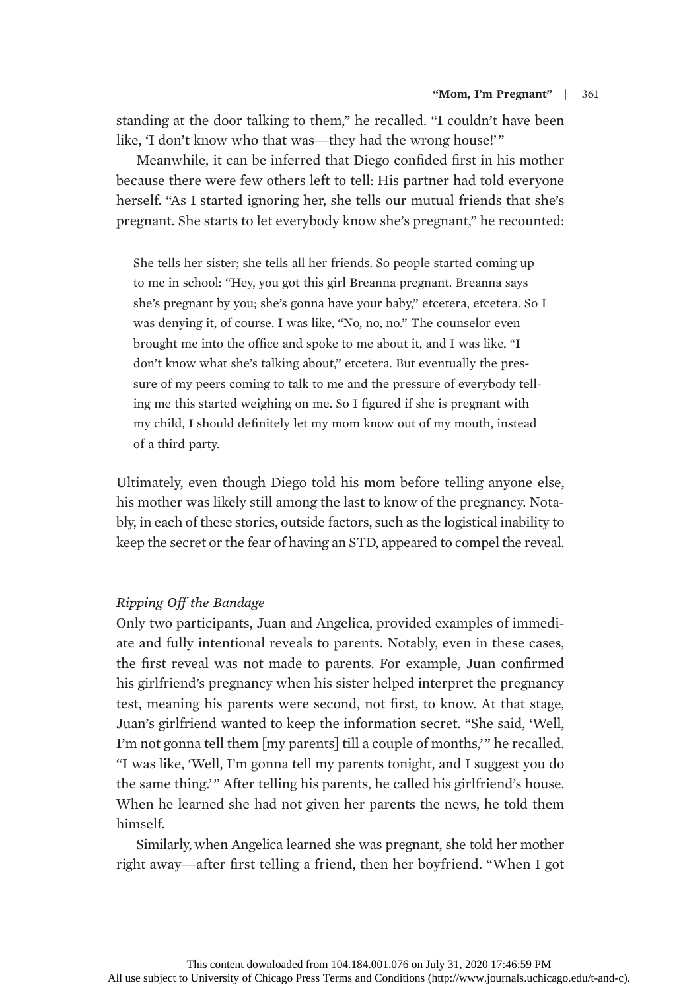standing at the door talking to them," he recalled. "I couldn't have been like, 'I don't know who that was—they had the wrong house!'"

Meanwhile, it can be inferred that Diego confided first in his mother because there were few others left to tell: His partner had told everyone herself. "As I started ignoring her, she tells our mutual friends that she's pregnant. She starts to let everybody know she's pregnant," he recounted:

She tells her sister; she tells all her friends. So people started coming up to me in school: "Hey, you got this girl Breanna pregnant. Breanna says she's pregnant by you; she's gonna have your baby," etcetera, etcetera. So I was denying it, of course. I was like, "No, no, no." The counselor even brought me into the office and spoke to me about it, and I was like, "I don't know what she's talking about," etcetera. But eventually the pressure of my peers coming to talk to me and the pressure of everybody telling me this started weighing on me. So I figured if she is pregnant with my child, I should definitely let my mom know out of my mouth, instead of a third party.

Ultimately, even though Diego told his mom before telling anyone else, his mother was likely still among the last to know of the pregnancy. Notably, in each of these stories, outside factors, such as the logistical inability to keep the secret or the fear of having an STD, appeared to compel the reveal.

# Ripping Off the Bandage

Only two participants, Juan and Angelica, provided examples of immediate and fully intentional reveals to parents. Notably, even in these cases, the first reveal was not made to parents. For example, Juan confirmed his girlfriend's pregnancy when his sister helped interpret the pregnancy test, meaning his parents were second, not first, to know. At that stage, Juan's girlfriend wanted to keep the information secret. "She said, 'Well, I'm not gonna tell them [my parents] till a couple of months,'" he recalled. "I was like, 'Well, I'm gonna tell my parents tonight, and I suggest you do the same thing.'" After telling his parents, he called his girlfriend's house. When he learned she had not given her parents the news, he told them himself.

Similarly, when Angelica learned she was pregnant, she told her mother right away—after first telling a friend, then her boyfriend. "When I got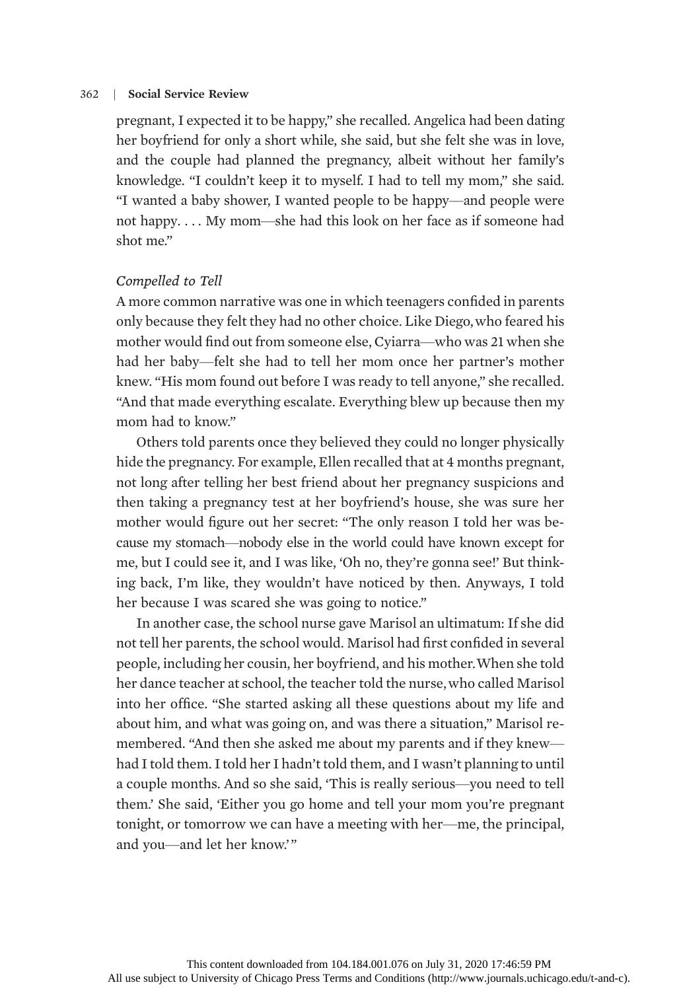pregnant, I expected it to be happy," she recalled. Angelica had been dating her boyfriend for only a short while, she said, but she felt she was in love, and the couple had planned the pregnancy, albeit without her family's knowledge. "I couldn't keep it to myself. I had to tell my mom," she said. "I wanted a baby shower, I wanted people to be happy—and people were not happy. . . . My mom—she had this look on her face as if someone had shot me."

## Compelled to Tell

A more common narrative was one in which teenagers confided in parents only because they felt they had no other choice. Like Diego,who feared his mother would find out from someone else, Cyiarra—who was 21 when she had her baby—felt she had to tell her mom once her partner's mother knew. "His mom found out before I was ready to tell anyone," she recalled. "And that made everything escalate. Everything blew up because then my mom had to know."

Others told parents once they believed they could no longer physically hide the pregnancy. For example, Ellen recalled that at 4 months pregnant, not long after telling her best friend about her pregnancy suspicions and then taking a pregnancy test at her boyfriend's house, she was sure her mother would figure out her secret: "The only reason I told her was because my stomach—nobody else in the world could have known except for me, but I could see it, and I was like, 'Oh no, they're gonna see!' But thinking back, I'm like, they wouldn't have noticed by then. Anyways, I told her because I was scared she was going to notice."

In another case, the school nurse gave Marisol an ultimatum: If she did not tell her parents, the school would. Marisol had first confided in several people, including her cousin, her boyfriend, and his mother.When she told her dance teacher at school, the teacher told the nurse,who called Marisol into her office. "She started asking all these questions about my life and about him, and what was going on, and was there a situation," Marisol remembered. "And then she asked me about my parents and if they knew had I told them. I told her I hadn't told them, and I wasn't planning to until a couple months. And so she said, 'This is really serious—you need to tell them.' She said, 'Either you go home and tell your mom you're pregnant tonight, or tomorrow we can have a meeting with her—me, the principal, and you—and let her know.'"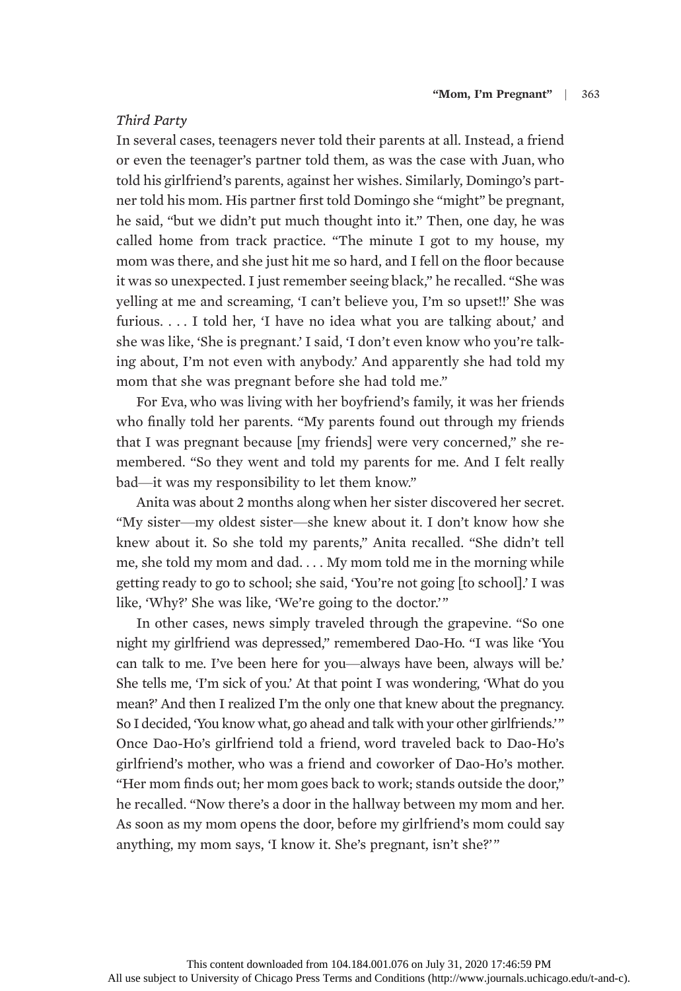# Third Party

In several cases, teenagers never told their parents at all. Instead, a friend or even the teenager's partner told them, as was the case with Juan, who told his girlfriend's parents, against her wishes. Similarly, Domingo's partner told his mom. His partner first told Domingo she "might" be pregnant, he said, "but we didn't put much thought into it." Then, one day, he was called home from track practice. "The minute I got to my house, my mom was there, and she just hit me so hard, and I fell on the floor because it was so unexpected. I just remember seeing black," he recalled. "She was yelling at me and screaming, 'I can't believe you, I'm so upset!!' She was furious. . . . I told her, 'I have no idea what you are talking about,' and she was like, 'She is pregnant.' I said, 'I don't even know who you're talking about, I'm not even with anybody.' And apparently she had told my mom that she was pregnant before she had told me."

For Eva, who was living with her boyfriend's family, it was her friends who finally told her parents. "My parents found out through my friends that I was pregnant because [my friends] were very concerned," she remembered. "So they went and told my parents for me. And I felt really bad—it was my responsibility to let them know."

Anita was about 2 months along when her sister discovered her secret. "My sister—my oldest sister—she knew about it. I don't know how she knew about it. So she told my parents," Anita recalled. "She didn't tell me, she told my mom and dad. . . . My mom told me in the morning while getting ready to go to school; she said, 'You're not going [to school].' I was like, 'Why?' She was like, 'We're going to the doctor.'"

In other cases, news simply traveled through the grapevine. "So one night my girlfriend was depressed," remembered Dao-Ho. "I was like 'You can talk to me. I've been here for you—always have been, always will be.' She tells me, 'I'm sick of you.' At that point I was wondering, 'What do you mean?' And then I realized I'm the only one that knew about the pregnancy. So I decided, 'You know what, go ahead and talk with your other girlfriends.'" Once Dao-Ho's girlfriend told a friend, word traveled back to Dao-Ho's girlfriend's mother, who was a friend and coworker of Dao-Ho's mother. "Her mom finds out; her mom goes back to work; stands outside the door," he recalled. "Now there's a door in the hallway between my mom and her. As soon as my mom opens the door, before my girlfriend's mom could say anything, my mom says, 'I know it. She's pregnant, isn't she?'"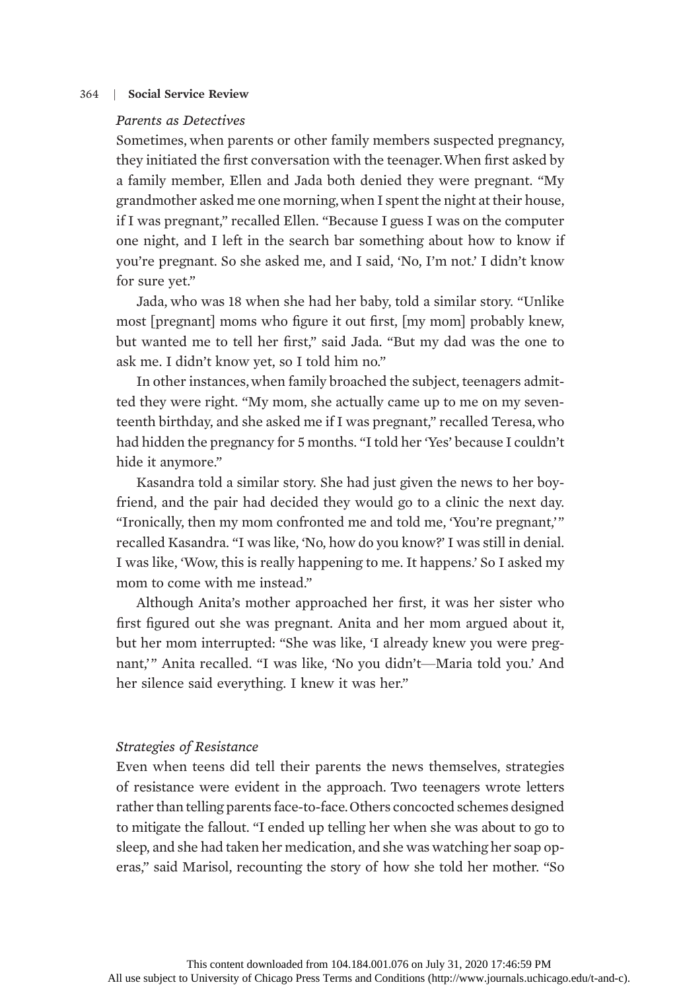# Parents as Detectives

Sometimes, when parents or other family members suspected pregnancy, they initiated the first conversation with the teenager.When first asked by a family member, Ellen and Jada both denied they were pregnant. "My grandmother asked me one morning,when I spent the night at their house, if I was pregnant," recalled Ellen. "Because I guess I was on the computer one night, and I left in the search bar something about how to know if you're pregnant. So she asked me, and I said, 'No, I'm not.' I didn't know for sure yet."

Jada, who was 18 when she had her baby, told a similar story. "Unlike most [pregnant] moms who figure it out first, [my mom] probably knew, but wanted me to tell her first," said Jada. "But my dad was the one to ask me. I didn't know yet, so I told him no."

In other instances,when family broached the subject, teenagers admitted they were right. "My mom, she actually came up to me on my seventeenth birthday, and she asked me if I was pregnant," recalled Teresa, who had hidden the pregnancy for 5 months. "I told her 'Yes' because I couldn't hide it anymore."

Kasandra told a similar story. She had just given the news to her boyfriend, and the pair had decided they would go to a clinic the next day. "Ironically, then my mom confronted me and told me, 'You're pregnant,'" recalled Kasandra. "I was like, 'No, how do you know?' I was still in denial. I was like, 'Wow, this is really happening to me. It happens.' So I asked my mom to come with me instead."

Although Anita's mother approached her first, it was her sister who first figured out she was pregnant. Anita and her mom argued about it, but her mom interrupted: "She was like, 'I already knew you were pregnant,'" Anita recalled. "I was like, 'No you didn't—Maria told you.' And her silence said everything. I knew it was her."

# Strategies of Resistance

Even when teens did tell their parents the news themselves, strategies of resistance were evident in the approach. Two teenagers wrote letters rather than telling parents face-to-face.Others concocted schemes designed to mitigate the fallout. "I ended up telling her when she was about to go to sleep, and she had taken her medication, and she was watching her soap operas," said Marisol, recounting the story of how she told her mother. "So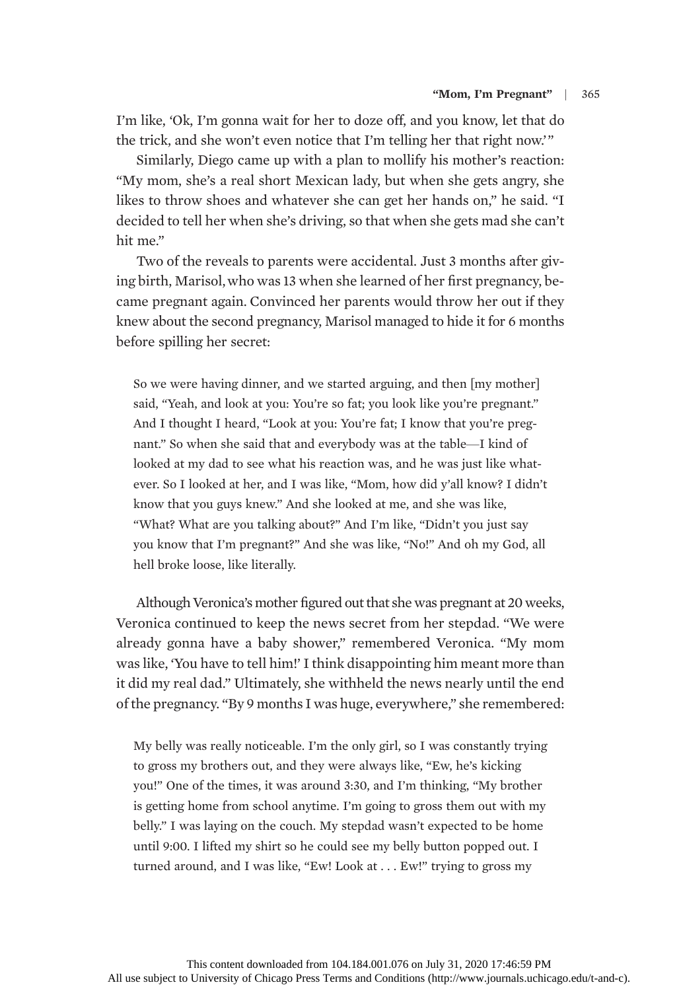I'm like, 'Ok, I'm gonna wait for her to doze off, and you know, let that do the trick, and she won't even notice that I'm telling her that right now.'"

Similarly, Diego came up with a plan to mollify his mother's reaction: "My mom, she's a real short Mexican lady, but when she gets angry, she likes to throw shoes and whatever she can get her hands on," he said. "I decided to tell her when she's driving, so that when she gets mad she can't hit me."

Two of the reveals to parents were accidental. Just 3 months after giving birth, Marisol,who was 13 when she learned of her first pregnancy, became pregnant again. Convinced her parents would throw her out if they knew about the second pregnancy, Marisol managed to hide it for 6 months before spilling her secret:

So we were having dinner, and we started arguing, and then [my mother] said, "Yeah, and look at you: You're so fat; you look like you're pregnant." And I thought I heard, "Look at you: You're fat; I know that you're pregnant." So when she said that and everybody was at the table—I kind of looked at my dad to see what his reaction was, and he was just like whatever. So I looked at her, and I was like, "Mom, how did y'all know? I didn't know that you guys knew." And she looked at me, and she was like, "What? What are you talking about?" And I'm like, "Didn't you just say you know that I'm pregnant?" And she was like, "No!" And oh my God, all hell broke loose, like literally.

Although Veronica's mother figured out that she was pregnant at 20 weeks, Veronica continued to keep the news secret from her stepdad. "We were already gonna have a baby shower," remembered Veronica. "My mom was like, 'You have to tell him!' I think disappointing him meant more than it did my real dad." Ultimately, she withheld the news nearly until the end of the pregnancy. "By 9 months I was huge, everywhere," she remembered:

My belly was really noticeable. I'm the only girl, so I was constantly trying to gross my brothers out, and they were always like, "Ew, he's kicking you!" One of the times, it was around 3:30, and I'm thinking, "My brother is getting home from school anytime. I'm going to gross them out with my belly." I was laying on the couch. My stepdad wasn't expected to be home until 9:00. I lifted my shirt so he could see my belly button popped out. I turned around, and I was like, "Ew! Look at . . . Ew!" trying to gross my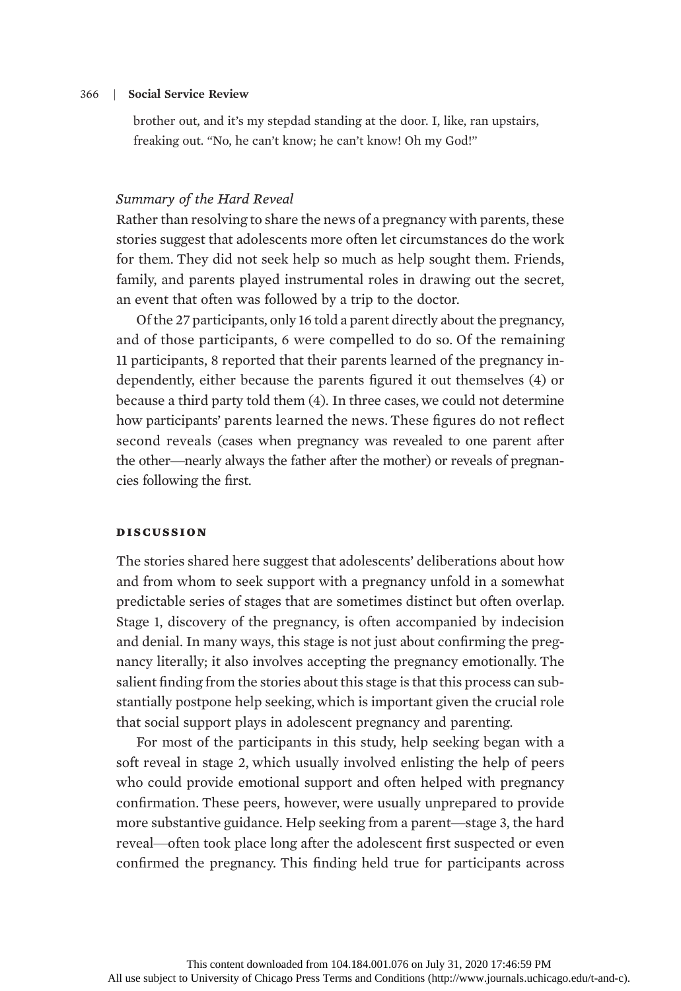brother out, and it's my stepdad standing at the door. I, like, ran upstairs, freaking out. "No, he can't know; he can't know! Oh my God!"

# Summary of the Hard Reveal

Rather than resolving to share the news of a pregnancy with parents, these stories suggest that adolescents more often let circumstances do the work for them. They did not seek help so much as help sought them. Friends, family, and parents played instrumental roles in drawing out the secret, an event that often was followed by a trip to the doctor.

Of the 27 participants, only 16 told a parent directly about the pregnancy, and of those participants, 6 were compelled to do so. Of the remaining 11 participants, 8 reported that their parents learned of the pregnancy independently, either because the parents figured it out themselves (4) or because a third party told them (4). In three cases, we could not determine how participants' parents learned the news. These figures do not reflect second reveals (cases when pregnancy was revealed to one parent after the other—nearly always the father after the mother) or reveals of pregnancies following the first.

#### discussion

The stories shared here suggest that adolescents' deliberations about how and from whom to seek support with a pregnancy unfold in a somewhat predictable series of stages that are sometimes distinct but often overlap. Stage 1, discovery of the pregnancy, is often accompanied by indecision and denial. In many ways, this stage is not just about confirming the pregnancy literally; it also involves accepting the pregnancy emotionally. The salient finding from the stories about this stage is that this process can substantially postpone help seeking, which is important given the crucial role that social support plays in adolescent pregnancy and parenting.

For most of the participants in this study, help seeking began with a soft reveal in stage 2, which usually involved enlisting the help of peers who could provide emotional support and often helped with pregnancy confirmation. These peers, however, were usually unprepared to provide more substantive guidance. Help seeking from a parent—stage 3, the hard reveal—often took place long after the adolescent first suspected or even confirmed the pregnancy. This finding held true for participants across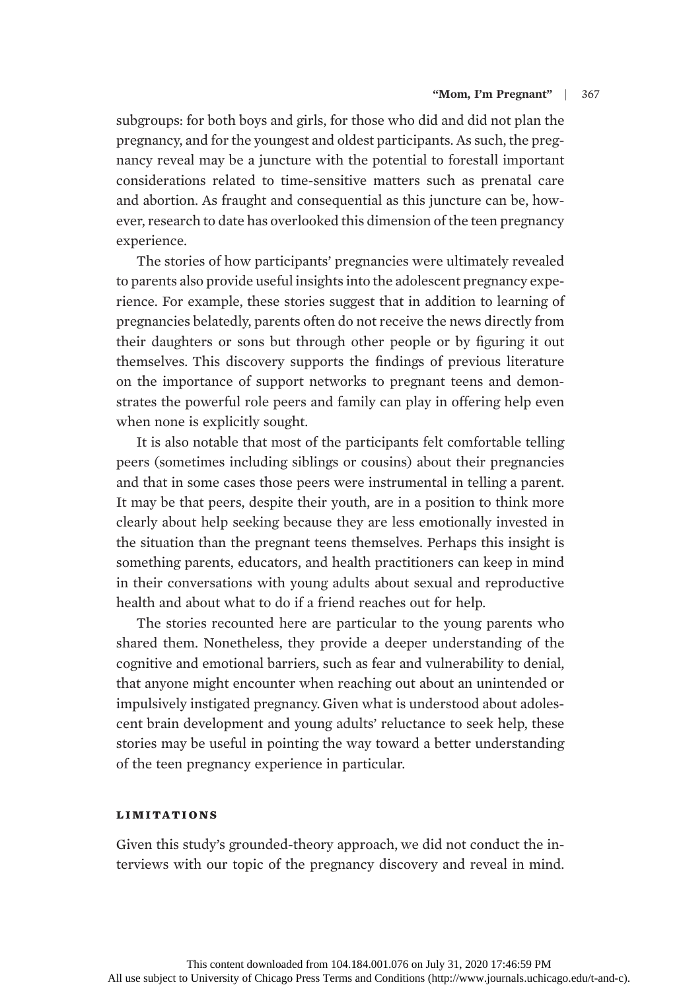subgroups: for both boys and girls, for those who did and did not plan the pregnancy, and for the youngest and oldest participants. As such, the pregnancy reveal may be a juncture with the potential to forestall important considerations related to time-sensitive matters such as prenatal care and abortion. As fraught and consequential as this juncture can be, however, research to date has overlooked this dimension of the teen pregnancy experience.

The stories of how participants' pregnancies were ultimately revealed to parents also provide useful insights into the adolescent pregnancy experience. For example, these stories suggest that in addition to learning of pregnancies belatedly, parents often do not receive the news directly from their daughters or sons but through other people or by figuring it out themselves. This discovery supports the findings of previous literature on the importance of support networks to pregnant teens and demonstrates the powerful role peers and family can play in offering help even when none is explicitly sought.

It is also notable that most of the participants felt comfortable telling peers (sometimes including siblings or cousins) about their pregnancies and that in some cases those peers were instrumental in telling a parent. It may be that peers, despite their youth, are in a position to think more clearly about help seeking because they are less emotionally invested in the situation than the pregnant teens themselves. Perhaps this insight is something parents, educators, and health practitioners can keep in mind in their conversations with young adults about sexual and reproductive health and about what to do if a friend reaches out for help.

The stories recounted here are particular to the young parents who shared them. Nonetheless, they provide a deeper understanding of the cognitive and emotional barriers, such as fear and vulnerability to denial, that anyone might encounter when reaching out about an unintended or impulsively instigated pregnancy. Given what is understood about adolescent brain development and young adults' reluctance to seek help, these stories may be useful in pointing the way toward a better understanding of the teen pregnancy experience in particular.

# limitations

Given this study's grounded-theory approach, we did not conduct the interviews with our topic of the pregnancy discovery and reveal in mind.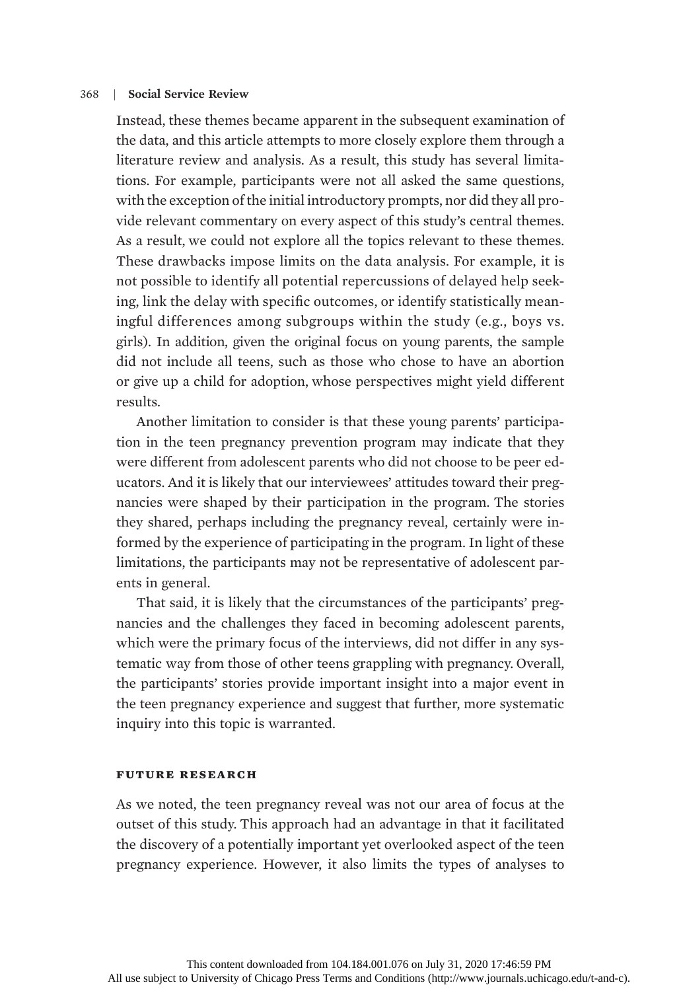Instead, these themes became apparent in the subsequent examination of the data, and this article attempts to more closely explore them through a literature review and analysis. As a result, this study has several limitations. For example, participants were not all asked the same questions, with the exception of the initial introductory prompts, nor did they all provide relevant commentary on every aspect of this study's central themes. As a result, we could not explore all the topics relevant to these themes. These drawbacks impose limits on the data analysis. For example, it is not possible to identify all potential repercussions of delayed help seeking, link the delay with specific outcomes, or identify statistically meaningful differences among subgroups within the study (e.g., boys vs. girls). In addition, given the original focus on young parents, the sample did not include all teens, such as those who chose to have an abortion or give up a child for adoption, whose perspectives might yield different results.

Another limitation to consider is that these young parents' participation in the teen pregnancy prevention program may indicate that they were different from adolescent parents who did not choose to be peer educators. And it is likely that our interviewees' attitudes toward their pregnancies were shaped by their participation in the program. The stories they shared, perhaps including the pregnancy reveal, certainly were informed by the experience of participating in the program. In light of these limitations, the participants may not be representative of adolescent parents in general.

That said, it is likely that the circumstances of the participants' pregnancies and the challenges they faced in becoming adolescent parents, which were the primary focus of the interviews, did not differ in any systematic way from those of other teens grappling with pregnancy. Overall, the participants' stories provide important insight into a major event in the teen pregnancy experience and suggest that further, more systematic inquiry into this topic is warranted.

## future research

As we noted, the teen pregnancy reveal was not our area of focus at the outset of this study. This approach had an advantage in that it facilitated the discovery of a potentially important yet overlooked aspect of the teen pregnancy experience. However, it also limits the types of analyses to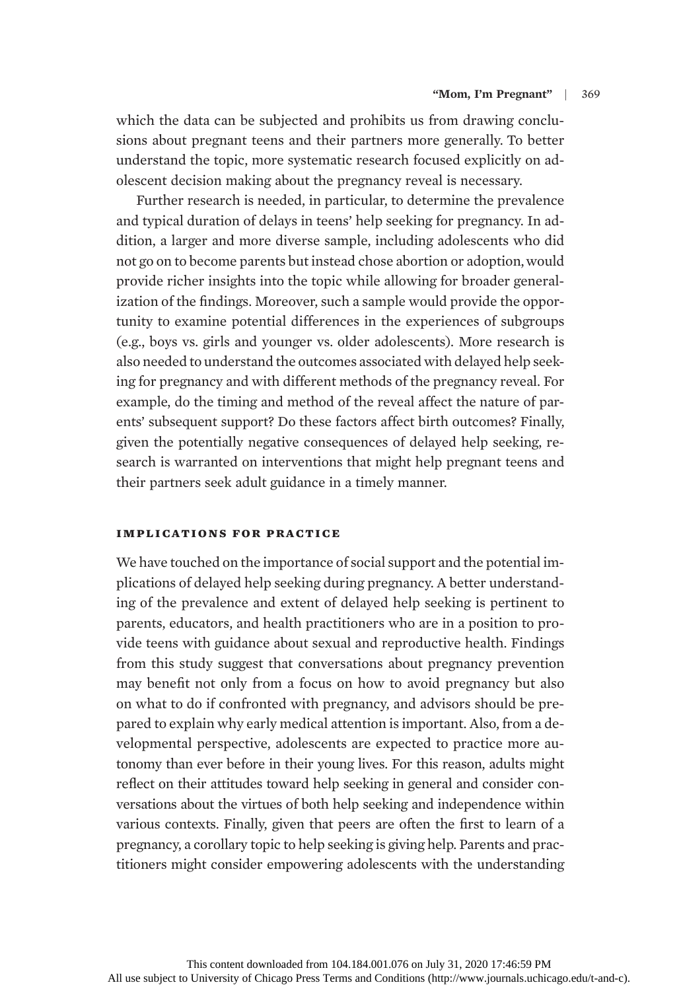which the data can be subjected and prohibits us from drawing conclusions about pregnant teens and their partners more generally. To better understand the topic, more systematic research focused explicitly on adolescent decision making about the pregnancy reveal is necessary.

Further research is needed, in particular, to determine the prevalence and typical duration of delays in teens' help seeking for pregnancy. In addition, a larger and more diverse sample, including adolescents who did not go on to become parents but instead chose abortion or adoption,would provide richer insights into the topic while allowing for broader generalization of the findings. Moreover, such a sample would provide the opportunity to examine potential differences in the experiences of subgroups (e.g., boys vs. girls and younger vs. older adolescents). More research is also needed to understand the outcomes associated with delayed help seeking for pregnancy and with different methods of the pregnancy reveal. For example, do the timing and method of the reveal affect the nature of parents' subsequent support? Do these factors affect birth outcomes? Finally, given the potentially negative consequences of delayed help seeking, research is warranted on interventions that might help pregnant teens and their partners seek adult guidance in a timely manner.

# implications for practice

We have touched on the importance of social support and the potential implications of delayed help seeking during pregnancy. A better understanding of the prevalence and extent of delayed help seeking is pertinent to parents, educators, and health practitioners who are in a position to provide teens with guidance about sexual and reproductive health. Findings from this study suggest that conversations about pregnancy prevention may benefit not only from a focus on how to avoid pregnancy but also on what to do if confronted with pregnancy, and advisors should be prepared to explain why early medical attention is important. Also, from a developmental perspective, adolescents are expected to practice more autonomy than ever before in their young lives. For this reason, adults might reflect on their attitudes toward help seeking in general and consider conversations about the virtues of both help seeking and independence within various contexts. Finally, given that peers are often the first to learn of a pregnancy, a corollary topic to help seeking is giving help. Parents and practitioners might consider empowering adolescents with the understanding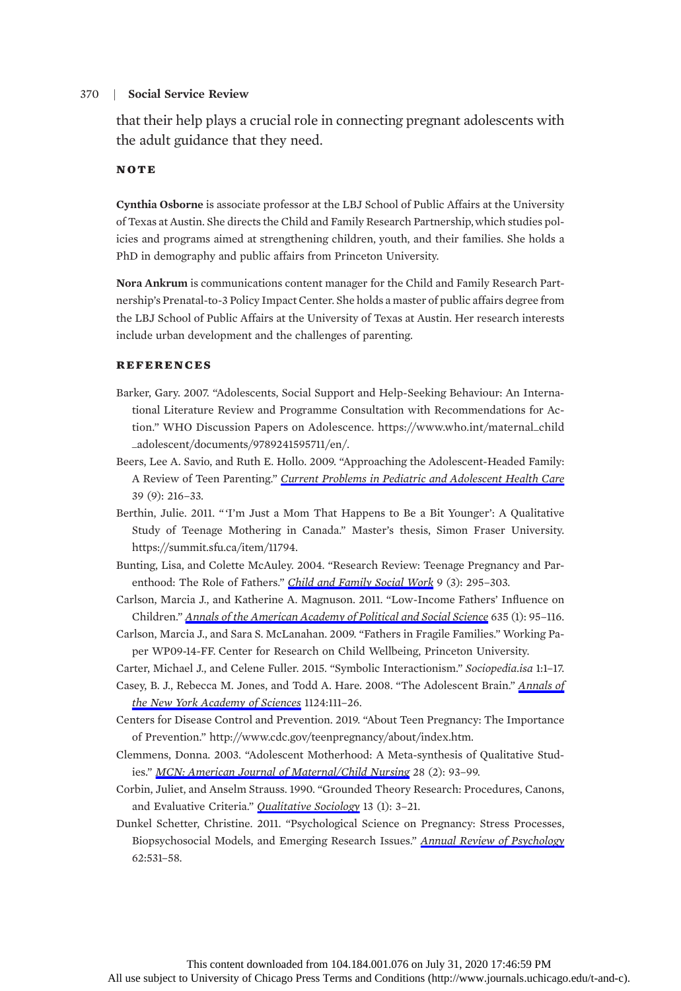that their help plays a crucial role in connecting pregnant adolescents with the adult guidance that they need.

#### NOTE

Cynthia Osborne is associate professor at the LBJ School of Public Affairs at the University of Texas at Austin. She directs the Child and Family Research Partnership,which studies policies and programs aimed at strengthening children, youth, and their families. She holds a PhD in demography and public affairs from Princeton University.

Nora Ankrum is communications content manager for the Child and Family Research Partnership's Prenatal-to-3 Policy Impact Center. She holds a master of public affairs degree from the LBJ School of Public Affairs at the University of Texas at Austin. Her research interests include urban development and the challenges of parenting.

#### **REFERENCES**

- Barker, Gary. 2007. "Adolescents, Social Support and Help-Seeking Behaviour: An International Literature Review and Programme Consultation with Recommendations for Action." WHO Discussion Papers on Adolescence. https://www.who.int/maternal\_child \_adolescent/documents/9789241595711/en/.
- Beers, Lee A. Savio, and Ruth E. Hollo. 2009. "Approaching the Adolescent-Headed Family: A Review of Teen Parenting." [Current Problems in Pediatric and Adolescent Health Care](https://www.journals.uchicago.edu/action/showLinks?doi=10.1086%2F708749&crossref=10.1016%2Fj.cppeds.2009.09.001&citationId=p_3) 39 (9): 216–33.
- Berthin, Julie. 2011. " 'I'm Just a Mom That Happens to Be a Bit Younger': A Qualitative Study of Teenage Mothering in Canada." Master's thesis, Simon Fraser University. https://summit.sfu.ca/item/11794.
- Bunting, Lisa, and Colette McAuley. 2004. "Research Review: Teenage Pregnancy and Parenthood: The Role of Fathers." [Child and Family Social Work](https://www.journals.uchicago.edu/action/showLinks?doi=10.1086%2F708749&crossref=10.1111%2Fj.1365-2206.2004.00335.x&citationId=p_5) 9 (3): 295–303.
- Carlson, Marcia J., and Katherine A. Magnuson. 2011. "Low-Income Fathers' Influence on Children." [Annals of the American Academy of Political and Social Science](https://www.journals.uchicago.edu/action/showLinks?doi=10.1086%2F708749&crossref=10.1177%2F0002716210393853&citationId=p_6) 635 (1): 95–116.
- Carlson, Marcia J., and Sara S. McLanahan. 2009. "Fathers in Fragile Families." Working Paper WP09-14-FF. Center for Research on Child Wellbeing, Princeton University.
- Carter, Michael J., and Celene Fuller. 2015. "Symbolic Interactionism." Sociopedia.isa 1:1–17.
- Casey, B. J., Rebecca M. Jones, and Todd A. Hare. 2008. "The Adolescent Brain." [Annals of](https://www.journals.uchicago.edu/action/showLinks?doi=10.1086%2F708749&crossref=10.1196%2Fannals.1440.010&citationId=p_9) [the New York Academy of Sciences](https://www.journals.uchicago.edu/action/showLinks?doi=10.1086%2F708749&crossref=10.1196%2Fannals.1440.010&citationId=p_9) 1124:111–26.
- Centers for Disease Control and Prevention. 2019. "About Teen Pregnancy: The Importance of Prevention." http://www.cdc.gov/teenpregnancy/about/index.htm.
- Clemmens, Donna. 2003. "Adolescent Motherhood: A Meta-synthesis of Qualitative Studies." [MCN: American Journal of Maternal/Child Nursing](https://www.journals.uchicago.edu/action/showLinks?doi=10.1086%2F708749&crossref=10.1097%2F00005721-200303000-00010&citationId=p_11) 28 (2): 93–99.
- Corbin, Juliet, and Anselm Strauss. 1990. "Grounded Theory Research: Procedures, Canons, and Evaluative Criteria." [Qualitative Sociology](https://www.journals.uchicago.edu/action/showLinks?doi=10.1086%2F708749&crossref=10.1007%2FBF00988593&citationId=p_12) 13 (1): 3-21.
- Dunkel Schetter, Christine. 2011. "Psychological Science on Pregnancy: Stress Processes, Biopsychosocial Models, and Emerging Research Issues." [Annual Review of Psychology](https://www.journals.uchicago.edu/action/showLinks?doi=10.1086%2F708749&crossref=10.1146%2Fannurev.psych.031809.130727&citationId=p_13) 62:531–58.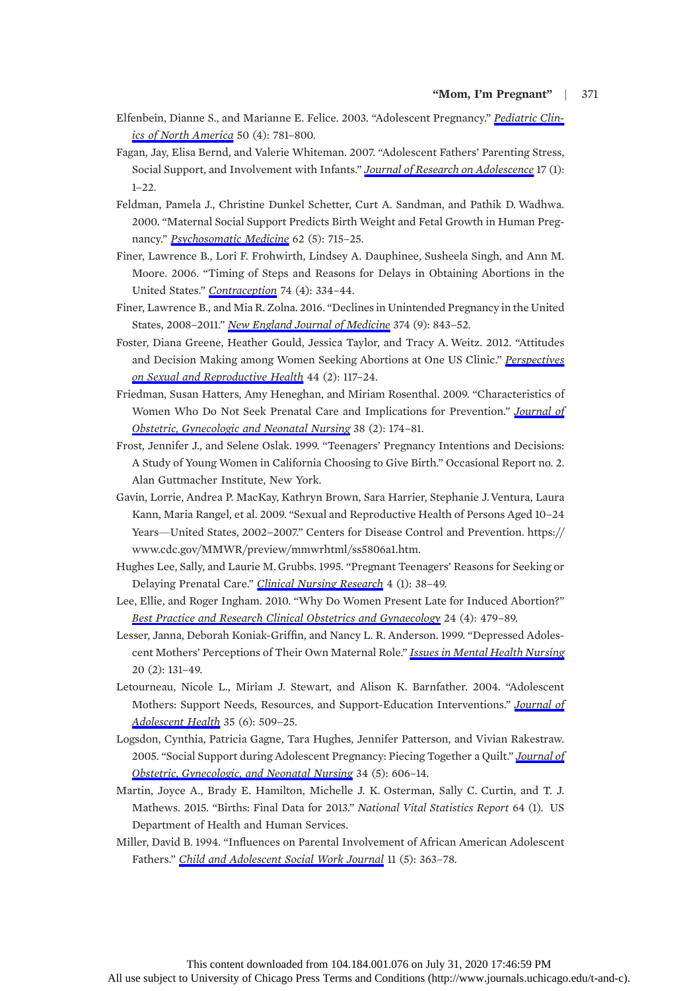- Elfenbein, Dianne S., and Marianne E. Felice. 2003. "Adolescent Pregnancy." [Pediatric Clin](https://www.journals.uchicago.edu/action/showLinks?doi=10.1086%2F708749&crossref=10.1016%2FS0031-3955%2803%2900069-5&citationId=p_14)[ics of North America](https://www.journals.uchicago.edu/action/showLinks?doi=10.1086%2F708749&crossref=10.1016%2FS0031-3955%2803%2900069-5&citationId=p_14) 50 (4): 781–800.
- Fagan, Jay, Elisa Bernd, and Valerie Whiteman. 2007. "Adolescent Fathers' Parenting Stress, Social Support, and Involvement with Infants." *[Journal of Research on Adolescence](https://www.journals.uchicago.edu/action/showLinks?doi=10.1086%2F708749&crossref=10.1111%2Fj.1532-7795.2007.00510.x&citationId=p_15)* 17 (1):  $1 - 22$ .
- Feldman, Pamela J., Christine Dunkel Schetter, Curt A. Sandman, and Pathik D. Wadhwa. 2000. "Maternal Social Support Predicts Birth Weight and Fetal Growth in Human Pregnancy." [Psychosomatic Medicine](https://www.journals.uchicago.edu/action/showLinks?doi=10.1086%2F708749&crossref=10.1097%2F00006842-200009000-00016&citationId=p_17) 62 (5): 715–25.
- Finer, Lawrence B., Lori F. Frohwirth, Lindsey A. Dauphinee, Susheela Singh, and Ann M. Moore. 2006. "Timing of Steps and Reasons for Delays in Obtaining Abortions in the United States." [Contraception](https://www.journals.uchicago.edu/action/showLinks?doi=10.1086%2F708749&crossref=10.1016%2Fj.contraception.2006.04.010&citationId=p_18) 74 (4): 334-44.
- Finer, Lawrence B., and Mia R. Zolna. 2016. "Declines in Unintended Pregnancy in the United States, 2008-2011." [New England Journal of Medicine](https://www.journals.uchicago.edu/action/showLinks?doi=10.1086%2F708749&crossref=10.1056%2FNEJMsa1506575&citationId=p_19) 374 (9): 843-52.
- Foster, Diana Greene, Heather Gould, Jessica Taylor, and Tracy A. Weitz. 2012. "Attitudes and Decision Making among Women Seeking Abortions at One US Clinic." [Perspectives](https://www.journals.uchicago.edu/action/showLinks?doi=10.1086%2F708749&crossref=10.1363%2F4411712&citationId=p_20) [on Sexual and Reproductive Health](https://www.journals.uchicago.edu/action/showLinks?doi=10.1086%2F708749&crossref=10.1363%2F4411712&citationId=p_20) 44 (2): 117–24.
- Friedman, Susan Hatters, Amy Heneghan, and Miriam Rosenthal. 2009. "Characteristics of Women Who Do Not Seek Prenatal Care and Implications for Prevention." [Journal of](https://www.journals.uchicago.edu/action/showLinks?doi=10.1086%2F708749&crossref=10.1111%2Fj.1552-6909.2009.01004.x&citationId=p_21) [Obstetric, Gynecologic and Neonatal Nursing](https://www.journals.uchicago.edu/action/showLinks?doi=10.1086%2F708749&crossref=10.1111%2Fj.1552-6909.2009.01004.x&citationId=p_21) 38 (2): 174–81.
- Frost, Jennifer J., and Selene Oslak. 1999. "Teenagers' Pregnancy Intentions and Decisions: A Study of Young Women in California Choosing to Give Birth." Occasional Report no. 2. Alan Guttmacher Institute, New York.
- Gavin, Lorrie, Andrea P. MacKay, Kathryn Brown, Sara Harrier, Stephanie J.Ventura, Laura Kann, Maria Rangel, et al. 2009. "Sexual and Reproductive Health of Persons Aged 10–24 Years—United States, 2002–2007." Centers for Disease Control and Prevention. https:// www.cdc.gov/MMWR/preview/mmwrhtml/ss5806a1.htm.
- Hughes Lee, Sally, and Laurie M. Grubbs. 1995. "Pregnant Teenagers' Reasons for Seeking or Delaying Prenatal Care." [Clinical Nursing Research](https://www.journals.uchicago.edu/action/showLinks?doi=10.1086%2F708749&crossref=10.1177%2F105477389500400105&citationId=p_24) 4 (1): 38–49.
- Lee, Ellie, and Roger Ingham. 2010. "Why Do Women Present Late for Induced Abortion?" [Best Practice and Research Clinical Obstetrics and Gynaecology](https://www.journals.uchicago.edu/action/showLinks?doi=10.1086%2F708749&crossref=10.1016%2Fj.bpobgyn.2010.02.005&citationId=p_25) 24 (4): 479–89.
- Lesser, Janna, Deborah Koniak-Griffin, and Nancy L. R. Anderson. 1999. "Depressed Adoles-cent Mothers' Perceptions of Their Own Maternal Role." [Issues in Mental Health Nursing](https://www.journals.uchicago.edu/action/showLinks?doi=10.1086%2F708749&crossref=10.1080%2F016128499248718&citationId=p_26) 20 (2): 131–49.
- Letourneau, Nicole L., Miriam J. Stewart, and Alison K. Barnfather. 2004. "Adolescent Mothers: Support Needs, Resources, and Support-Education Interventions." [Journal of](https://www.journals.uchicago.edu/action/showLinks?doi=10.1086%2F708749&crossref=10.1016%2FS1054-139X%2804%2900069-2&citationId=p_27) [Adolescent Health](https://www.journals.uchicago.edu/action/showLinks?doi=10.1086%2F708749&crossref=10.1016%2FS1054-139X%2804%2900069-2&citationId=p_27) 35 (6): 509–25.
- Logsdon, Cynthia, Patricia Gagne, Tara Hughes, Jennifer Patterson, and Vivian Rakestraw. 2005. "Social Support during Adolescent Pregnancy: Piecing Together a Quilt." [Journal of](https://www.journals.uchicago.edu/action/showLinks?doi=10.1086%2F708749&crossref=10.1177%2F0884217505280194&citationId=p_29) [Obstetric, Gynecologic, and Neonatal Nursing](https://www.journals.uchicago.edu/action/showLinks?doi=10.1086%2F708749&crossref=10.1177%2F0884217505280194&citationId=p_29) 34 (5): 606–14.
- Martin, Joyce A., Brady E. Hamilton, Michelle J. K. Osterman, Sally C. Curtin, and T. J. Mathews. 2015. "Births: Final Data for 2013." National Vital Statistics Report 64 (1). US Department of Health and Human Services.
- Miller, David B. 1994. "Influences on Parental Involvement of African American Adolescent Fathers." [Child and Adolescent Social Work Journal](https://www.journals.uchicago.edu/action/showLinks?doi=10.1086%2F708749&crossref=10.1007%2FBF01876587&citationId=p_31) 11 (5): 363–78.